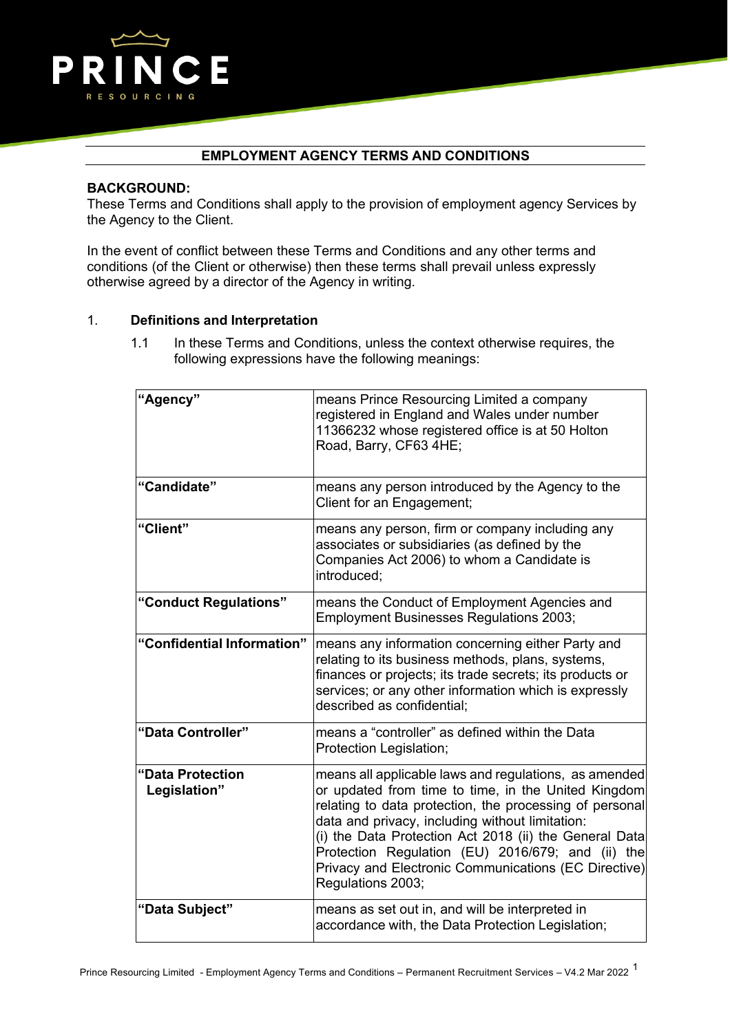

# **EMPLOYMENT AGENCY TERMS AND CONDITIONS**

#### **BACKGROUND:**

These Terms and Conditions shall apply to the provision of employment agency Services by the Agency to the Client.

In the event of conflict between these Terms and Conditions and any other terms and conditions (of the Client or otherwise) then these terms shall prevail unless expressly otherwise agreed by a director of the Agency in writing.

### 1. **Definitions and Interpretation**

1.1 In these Terms and Conditions, unless the context otherwise requires, the following expressions have the following meanings:

| "Agency"                         | means Prince Resourcing Limited a company<br>registered in England and Wales under number<br>11366232 whose registered office is at 50 Holton<br>Road, Barry, CF63 4HE;                                                                                                                                                                                                                                                |
|----------------------------------|------------------------------------------------------------------------------------------------------------------------------------------------------------------------------------------------------------------------------------------------------------------------------------------------------------------------------------------------------------------------------------------------------------------------|
| "Candidate"                      | means any person introduced by the Agency to the<br>Client for an Engagement;                                                                                                                                                                                                                                                                                                                                          |
| "Client"                         | means any person, firm or company including any<br>associates or subsidiaries (as defined by the<br>Companies Act 2006) to whom a Candidate is<br>introduced;                                                                                                                                                                                                                                                          |
| "Conduct Regulations"            | means the Conduct of Employment Agencies and<br><b>Employment Businesses Regulations 2003;</b>                                                                                                                                                                                                                                                                                                                         |
| "Confidential Information"       | means any information concerning either Party and<br>relating to its business methods, plans, systems,<br>finances or projects; its trade secrets; its products or<br>services; or any other information which is expressly<br>described as confidential;                                                                                                                                                              |
| "Data Controller"                | means a "controller" as defined within the Data<br>Protection Legislation;                                                                                                                                                                                                                                                                                                                                             |
| "Data Protection<br>Legislation" | means all applicable laws and regulations, as amended<br>or updated from time to time, in the United Kingdom<br>relating to data protection, the processing of personal<br>data and privacy, including without limitation:<br>(i) the Data Protection Act 2018 (ii) the General Data<br>Protection Regulation (EU) 2016/679; and (ii) the<br>Privacy and Electronic Communications (EC Directive)<br>Regulations 2003; |
| "Data Subject"                   | means as set out in, and will be interpreted in<br>accordance with, the Data Protection Legislation;                                                                                                                                                                                                                                                                                                                   |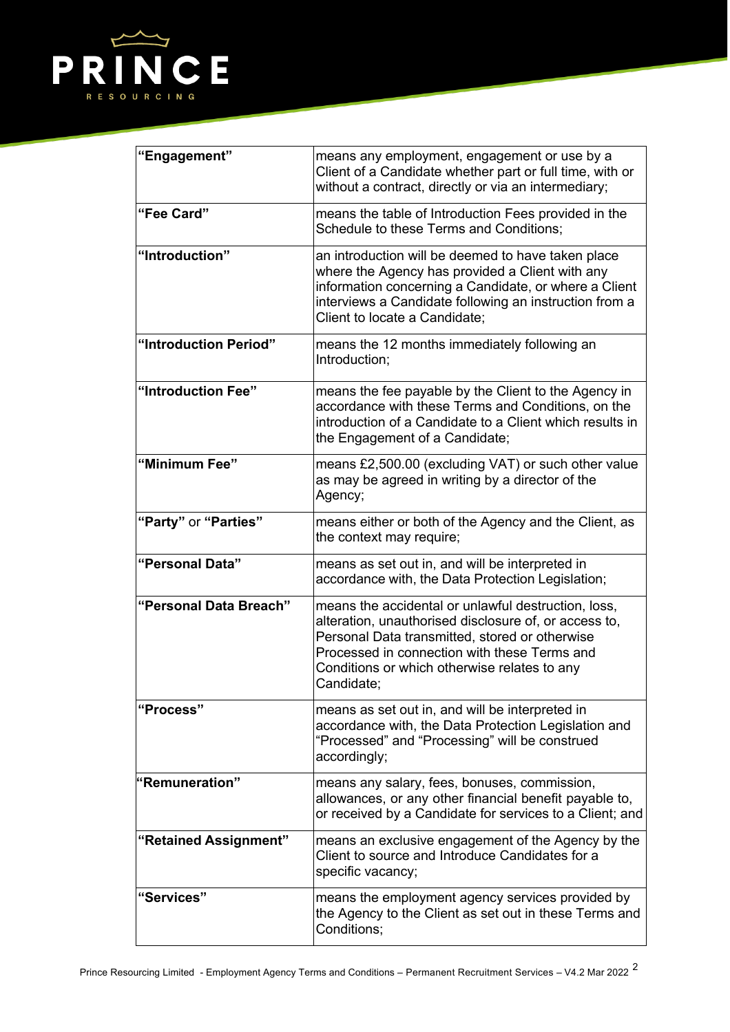

| "Engagement"           | means any employment, engagement or use by a<br>Client of a Candidate whether part or full time, with or<br>without a contract, directly or via an intermediary;                                                                                                             |
|------------------------|------------------------------------------------------------------------------------------------------------------------------------------------------------------------------------------------------------------------------------------------------------------------------|
| "Fee Card"             | means the table of Introduction Fees provided in the<br>Schedule to these Terms and Conditions;                                                                                                                                                                              |
| "Introduction"         | an introduction will be deemed to have taken place<br>where the Agency has provided a Client with any<br>information concerning a Candidate, or where a Client<br>interviews a Candidate following an instruction from a<br>Client to locate a Candidate;                    |
| "Introduction Period"  | means the 12 months immediately following an<br>Introduction;                                                                                                                                                                                                                |
| "Introduction Fee"     | means the fee payable by the Client to the Agency in<br>accordance with these Terms and Conditions, on the<br>introduction of a Candidate to a Client which results in<br>the Engagement of a Candidate;                                                                     |
| "Minimum Fee"          | means £2,500.00 (excluding VAT) or such other value<br>as may be agreed in writing by a director of the<br>Agency;                                                                                                                                                           |
| "Party" or "Parties"   | means either or both of the Agency and the Client, as<br>the context may require;                                                                                                                                                                                            |
| "Personal Data"        | means as set out in, and will be interpreted in<br>accordance with, the Data Protection Legislation;                                                                                                                                                                         |
| "Personal Data Breach" | means the accidental or unlawful destruction, loss,<br>alteration, unauthorised disclosure of, or access to,<br>Personal Data transmitted, stored or otherwise<br>Processed in connection with these Terms and<br>Conditions or which otherwise relates to any<br>Candidate: |
| "Process"              | means as set out in, and will be interpreted in<br>accordance with, the Data Protection Legislation and<br>"Processed" and "Processing" will be construed<br>accordingly;                                                                                                    |
| "Remuneration"         | means any salary, fees, bonuses, commission,<br>allowances, or any other financial benefit payable to,<br>or received by a Candidate for services to a Client; and                                                                                                           |
| "Retained Assignment"  | means an exclusive engagement of the Agency by the<br>Client to source and Introduce Candidates for a<br>specific vacancy;                                                                                                                                                   |
| "Services"             | means the employment agency services provided by<br>the Agency to the Client as set out in these Terms and<br>Conditions;                                                                                                                                                    |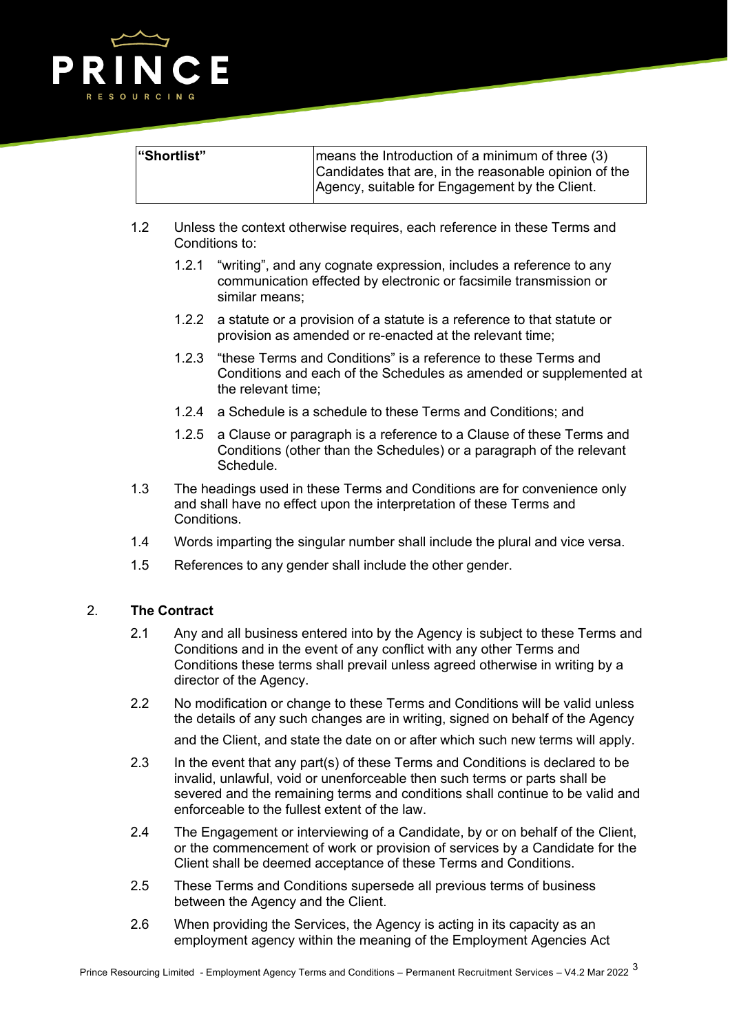

| "Shortlist" | means the Introduction of a minimum of three (3)<br>Candidates that are, in the reasonable opinion of the |
|-------------|-----------------------------------------------------------------------------------------------------------|
|             | Agency, suitable for Engagement by the Client.                                                            |

- 1.2 Unless the context otherwise requires, each reference in these Terms and Conditions to:
	- 1.2.1 "writing", and any cognate expression, includes a reference to any communication effected by electronic or facsimile transmission or similar means;
	- 1.2.2 a statute or a provision of a statute is a reference to that statute or provision as amended or re-enacted at the relevant time;
	- 1.2.3 "these Terms and Conditions" is a reference to these Terms and Conditions and each of the Schedules as amended or supplemented at the relevant time;
	- 1.2.4 a Schedule is a schedule to these Terms and Conditions; and
	- 1.2.5 a Clause or paragraph is a reference to a Clause of these Terms and Conditions (other than the Schedules) or a paragraph of the relevant Schedule.
- 1.3 The headings used in these Terms and Conditions are for convenience only and shall have no effect upon the interpretation of these Terms and **Conditions**
- 1.4 Words imparting the singular number shall include the plural and vice versa.
- 1.5 References to any gender shall include the other gender.

## 2. **The Contract**

- 2.1 Any and all business entered into by the Agency is subject to these Terms and Conditions and in the event of any conflict with any other Terms and Conditions these terms shall prevail unless agreed otherwise in writing by a director of the Agency.
- 2.2 No modification or change to these Terms and Conditions will be valid unless the details of any such changes are in writing, signed on behalf of the Agency

and the Client, and state the date on or after which such new terms will apply.

- 2.3 In the event that any part(s) of these Terms and Conditions is declared to be invalid, unlawful, void or unenforceable then such terms or parts shall be severed and the remaining terms and conditions shall continue to be valid and enforceable to the fullest extent of the law.
- 2.4 The Engagement or interviewing of a Candidate, by or on behalf of the Client, or the commencement of work or provision of services by a Candidate for the Client shall be deemed acceptance of these Terms and Conditions.
- 2.5 These Terms and Conditions supersede all previous terms of business between the Agency and the Client.
- 2.6 When providing the Services, the Agency is acting in its capacity as an employment agency within the meaning of the Employment Agencies Act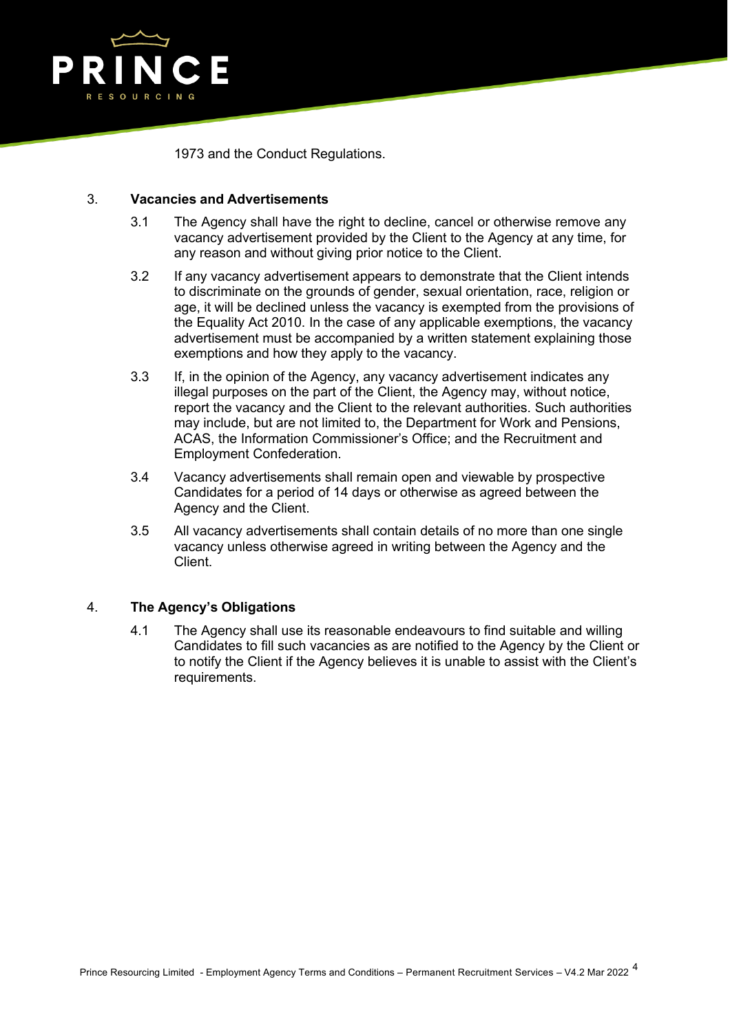

1973 and the Conduct Regulations.

## 3. **Vacancies and Advertisements**

- 3.1 The Agency shall have the right to decline, cancel or otherwise remove any vacancy advertisement provided by the Client to the Agency at any time, for any reason and without giving prior notice to the Client.
- 3.2 If any vacancy advertisement appears to demonstrate that the Client intends to discriminate on the grounds of gender, sexual orientation, race, religion or age, it will be declined unless the vacancy is exempted from the provisions of the Equality Act 2010. In the case of any applicable exemptions, the vacancy advertisement must be accompanied by a written statement explaining those exemptions and how they apply to the vacancy.
- 3.3 If, in the opinion of the Agency, any vacancy advertisement indicates any illegal purposes on the part of the Client, the Agency may, without notice, report the vacancy and the Client to the relevant authorities. Such authorities may include, but are not limited to, the Department for Work and Pensions, ACAS, the Information Commissioner's Office; and the Recruitment and Employment Confederation.
- 3.4 Vacancy advertisements shall remain open and viewable by prospective Candidates for a period of 14 days or otherwise as agreed between the Agency and the Client.
- 3.5 All vacancy advertisements shall contain details of no more than one single vacancy unless otherwise agreed in writing between the Agency and the Client.

## 4. **The Agency's Obligations**

4.1 The Agency shall use its reasonable endeavours to find suitable and willing Candidates to fill such vacancies as are notified to the Agency by the Client or to notify the Client if the Agency believes it is unable to assist with the Client's requirements.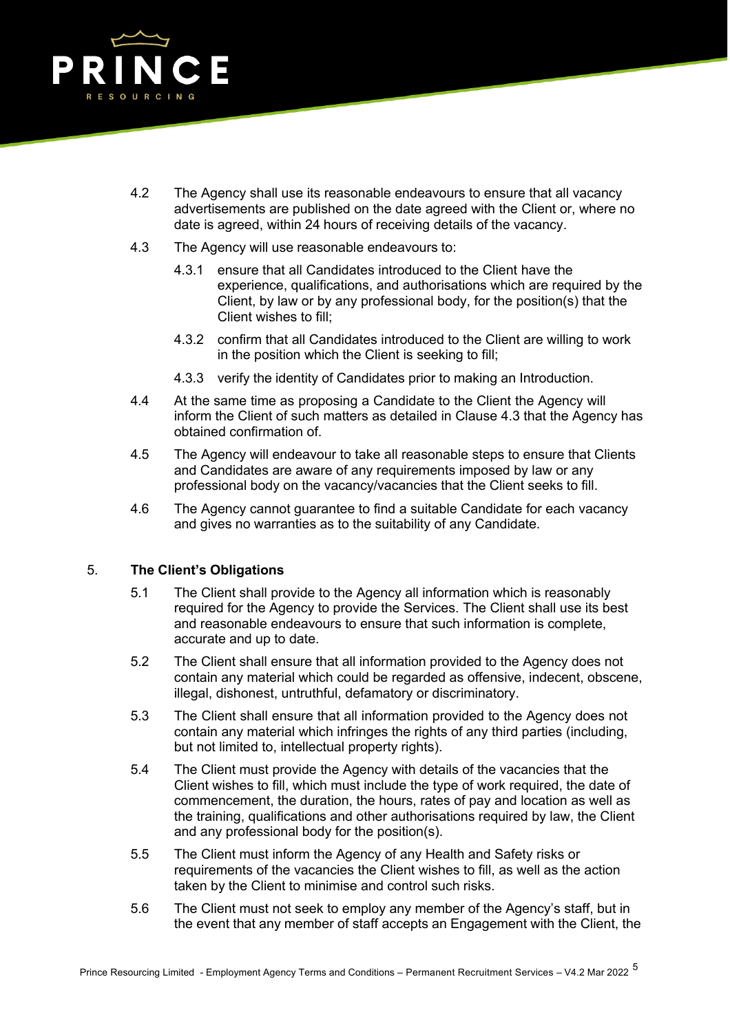

- 4.2 The Agency shall use its reasonable endeavours to ensure that all vacancy advertisements are published on the date agreed with the Client or, where no date is agreed, within 24 hours of receiving details of the vacancy.
- 4.3 The Agency will use reasonable endeavours to:
	- 4.3.1 ensure that all Candidates introduced to the Client have the experience, qualifications, and authorisations which are required by the Client, by law or by any professional body, for the position(s) that the Client wishes to fill;
	- 4.3.2 confirm that all Candidates introduced to the Client are willing to work in the position which the Client is seeking to fill;
	- 4.3.3 verify the identity of Candidates prior to making an Introduction.
- 4.4 At the same time as proposing a Candidate to the Client the Agency will inform the Client of such matters as detailed in Clause 4.3 that the Agency has obtained confirmation of.
- 4.5 The Agency will endeavour to take all reasonable steps to ensure that Clients and Candidates are aware of any requirements imposed by law or any professional body on the vacancy/vacancies that the Client seeks to fill.
- 4.6 The Agency cannot guarantee to find a suitable Candidate for each vacancy and gives no warranties as to the suitability of any Candidate.

## 5. **The Client's Obligations**

- 5.1 The Client shall provide to the Agency all information which is reasonably required for the Agency to provide the Services. The Client shall use its best and reasonable endeavours to ensure that such information is complete, accurate and up to date.
- 5.2 The Client shall ensure that all information provided to the Agency does not contain any material which could be regarded as offensive, indecent, obscene, illegal, dishonest, untruthful, defamatory or discriminatory.
- 5.3 The Client shall ensure that all information provided to the Agency does not contain any material which infringes the rights of any third parties (including, but not limited to, intellectual property rights).
- 5.4 The Client must provide the Agency with details of the vacancies that the Client wishes to fill, which must include the type of work required, the date of commencement, the duration, the hours, rates of pay and location as well as the training, qualifications and other authorisations required by law, the Client and any professional body for the position(s).
- 5.5 The Client must inform the Agency of any Health and Safety risks or requirements of the vacancies the Client wishes to fill, as well as the action taken by the Client to minimise and control such risks.
- 5.6 The Client must not seek to employ any member of the Agency's staff, but in the event that any member of staff accepts an Engagement with the Client, the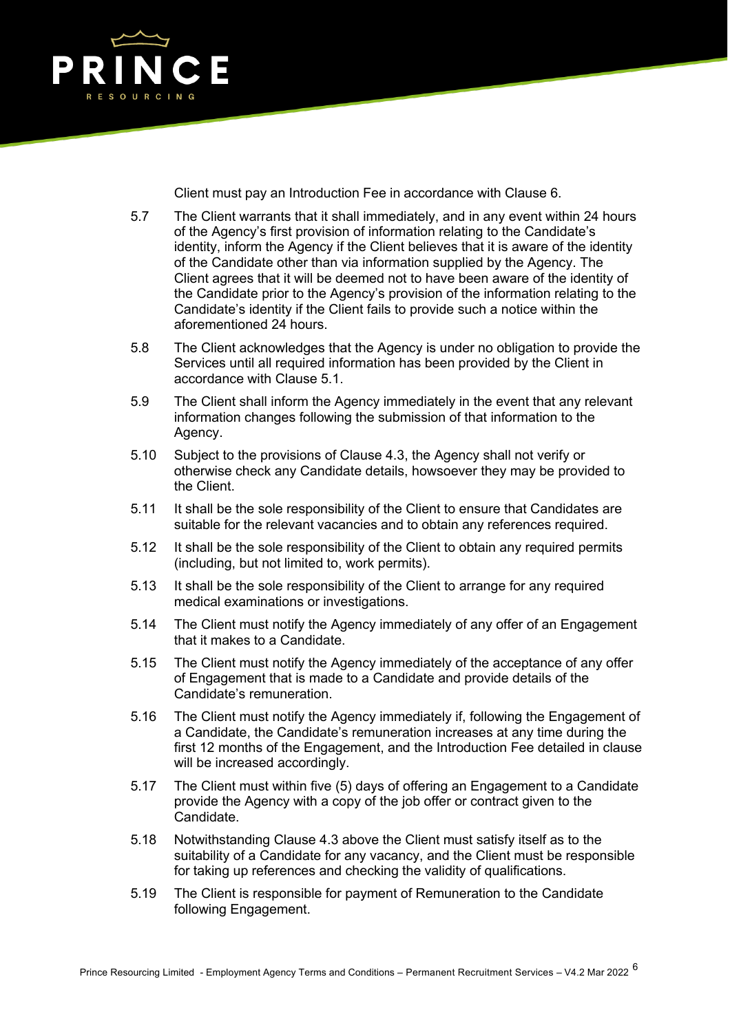

Client must pay an Introduction Fee in accordance with Clause 6.

- 5.7 The Client warrants that it shall immediately, and in any event within 24 hours of the Agency's first provision of information relating to the Candidate's identity, inform the Agency if the Client believes that it is aware of the identity of the Candidate other than via information supplied by the Agency. The Client agrees that it will be deemed not to have been aware of the identity of the Candidate prior to the Agency's provision of the information relating to the Candidate's identity if the Client fails to provide such a notice within the aforementioned 24 hours.
- 5.8 The Client acknowledges that the Agency is under no obligation to provide the Services until all required information has been provided by the Client in accordance with Clause 5.1.
- 5.9 The Client shall inform the Agency immediately in the event that any relevant information changes following the submission of that information to the Agency.
- 5.10 Subject to the provisions of Clause 4.3, the Agency shall not verify or otherwise check any Candidate details, howsoever they may be provided to the Client.
- 5.11 It shall be the sole responsibility of the Client to ensure that Candidates are suitable for the relevant vacancies and to obtain any references required.
- 5.12 It shall be the sole responsibility of the Client to obtain any required permits (including, but not limited to, work permits).
- 5.13 It shall be the sole responsibility of the Client to arrange for any required medical examinations or investigations.
- 5.14 The Client must notify the Agency immediately of any offer of an Engagement that it makes to a Candidate.
- 5.15 The Client must notify the Agency immediately of the acceptance of any offer of Engagement that is made to a Candidate and provide details of the Candidate's remuneration.
- 5.16 The Client must notify the Agency immediately if, following the Engagement of a Candidate, the Candidate's remuneration increases at any time during the first 12 months of the Engagement, and the Introduction Fee detailed in clause will be increased accordingly.
- 5.17 The Client must within five (5) days of offering an Engagement to a Candidate provide the Agency with a copy of the job offer or contract given to the Candidate.
- 5.18 Notwithstanding Clause 4.3 above the Client must satisfy itself as to the suitability of a Candidate for any vacancy, and the Client must be responsible for taking up references and checking the validity of qualifications.
- 5.19 The Client is responsible for payment of Remuneration to the Candidate following Engagement.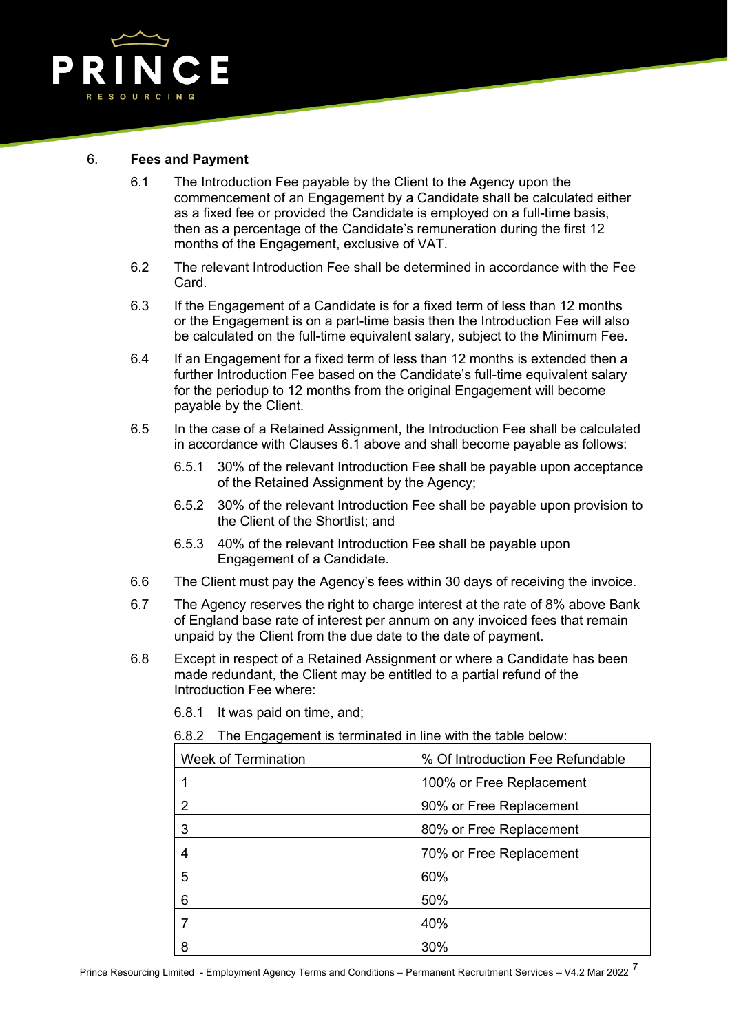

### 6. **Fees and Payment**

- 6.1 The Introduction Fee payable by the Client to the Agency upon the commencement of an Engagement by a Candidate shall be calculated either as a fixed fee or provided the Candidate is employed on a full-time basis, then as a percentage of the Candidate's remuneration during the first 12 months of the Engagement, exclusive of VAT.
- 6.2 The relevant Introduction Fee shall be determined in accordance with the Fee Card.
- 6.3 If the Engagement of a Candidate is for a fixed term of less than 12 months or the Engagement is on a part-time basis then the Introduction Fee will also be calculated on the full-time equivalent salary, subject to the Minimum Fee.
- 6.4 If an Engagement for a fixed term of less than 12 months is extended then a further Introduction Fee based on the Candidate's full-time equivalent salary for the periodup to 12 months from the original Engagement will become payable by the Client.
- 6.5 In the case of a Retained Assignment, the Introduction Fee shall be calculated in accordance with Clauses 6.1 above and shall become payable as follows:
	- 6.5.1 30% of the relevant Introduction Fee shall be payable upon acceptance of the Retained Assignment by the Agency;
	- 6.5.2 30% of the relevant Introduction Fee shall be payable upon provision to the Client of the Shortlist; and
	- 6.5.3 40% of the relevant Introduction Fee shall be payable upon Engagement of a Candidate.
- 6.6 The Client must pay the Agency's fees within 30 days of receiving the invoice.
- 6.7 The Agency reserves the right to charge interest at the rate of 8% above Bank of England base rate of interest per annum on any invoiced fees that remain unpaid by the Client from the due date to the date of payment.
- 6.8 Except in respect of a Retained Assignment or where a Candidate has been made redundant, the Client may be entitled to a partial refund of the Introduction Fee where:
	- Week of Termination **1996** Separate Music Control 1996 Of Introduction Fee Refundable 1 100% or Free Replacement 2 90% or Free Replacement 3 80% or Free Replacement 4 70% or Free Replacement 5 60% 6 50% 7 40% 8 30%
	- 6.8.1 It was paid on time, and;

6.8.2 The Engagement is terminated in line with the table below: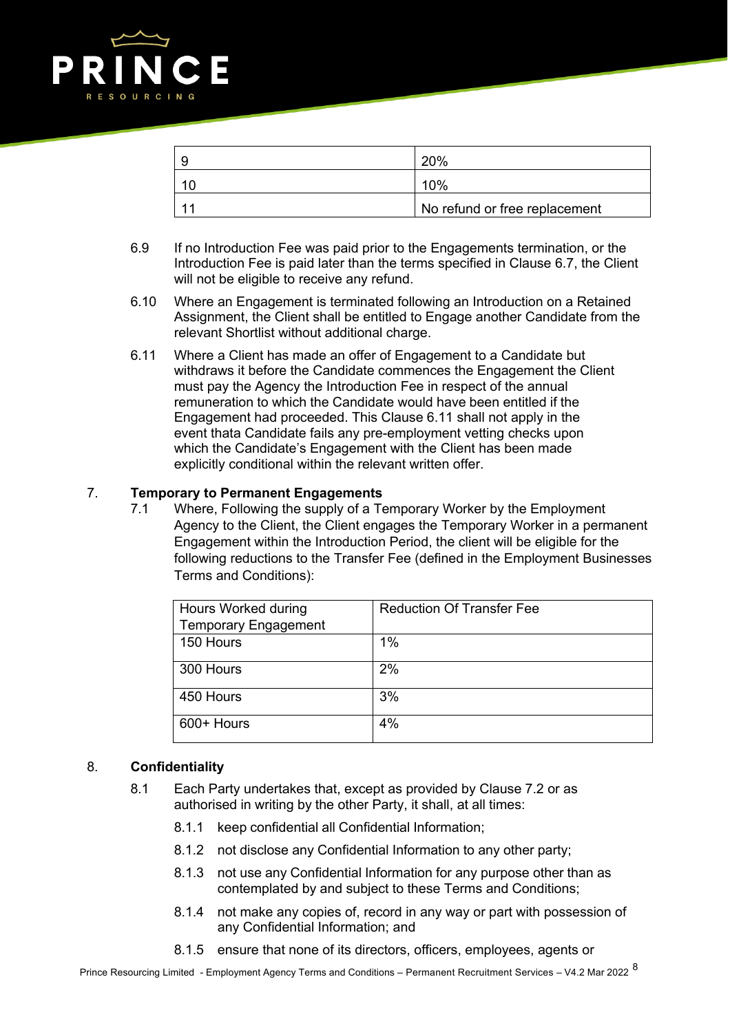

| O | 20%                           |
|---|-------------------------------|
|   | 10%                           |
|   | No refund or free replacement |

- 6.9 If no Introduction Fee was paid prior to the Engagements termination, or the Introduction Fee is paid later than the terms specified in Clause 6.7, the Client will not be eligible to receive any refund.
- 6.10 Where an Engagement is terminated following an Introduction on a Retained Assignment, the Client shall be entitled to Engage another Candidate from the relevant Shortlist without additional charge.
- 6.11 Where a Client has made an offer of Engagement to a Candidate but withdraws it before the Candidate commences the Engagement the Client must pay the Agency the Introduction Fee in respect of the annual remuneration to which the Candidate would have been entitled if the Engagement had proceeded. This Clause 6.11 shall not apply in the event thata Candidate fails any pre-employment vetting checks upon which the Candidate's Engagement with the Client has been made explicitly conditional within the relevant written offer.

## 7. **Temporary to Permanent Engagements**

7.1 Where, Following the supply of a Temporary Worker by the Employment Agency to the Client, the Client engages the Temporary Worker in a permanent Engagement within the Introduction Period, the client will be eligible for the following reductions to the Transfer Fee (defined in the Employment Businesses Terms and Conditions):

| Hours Worked during         | <b>Reduction Of Transfer Fee</b> |
|-----------------------------|----------------------------------|
| <b>Temporary Engagement</b> |                                  |
| 150 Hours                   | $1\%$                            |
| 300 Hours                   | 2%                               |
| 450 Hours                   | 3%                               |
| 600+ Hours                  | 4%                               |

## 8. **Confidentiality**

- 8.1 Each Party undertakes that, except as provided by Clause 7.2 or as authorised in writing by the other Party, it shall, at all times:
	- 8.1.1 keep confidential all Confidential Information;
	- 8.1.2 not disclose any Confidential Information to any other party;
	- 8.1.3 not use any Confidential Information for any purpose other than as contemplated by and subject to these Terms and Conditions;
	- 8.1.4 not make any copies of, record in any way or part with possession of any Confidential Information; and
	- 8.1.5 ensure that none of its directors, officers, employees, agents or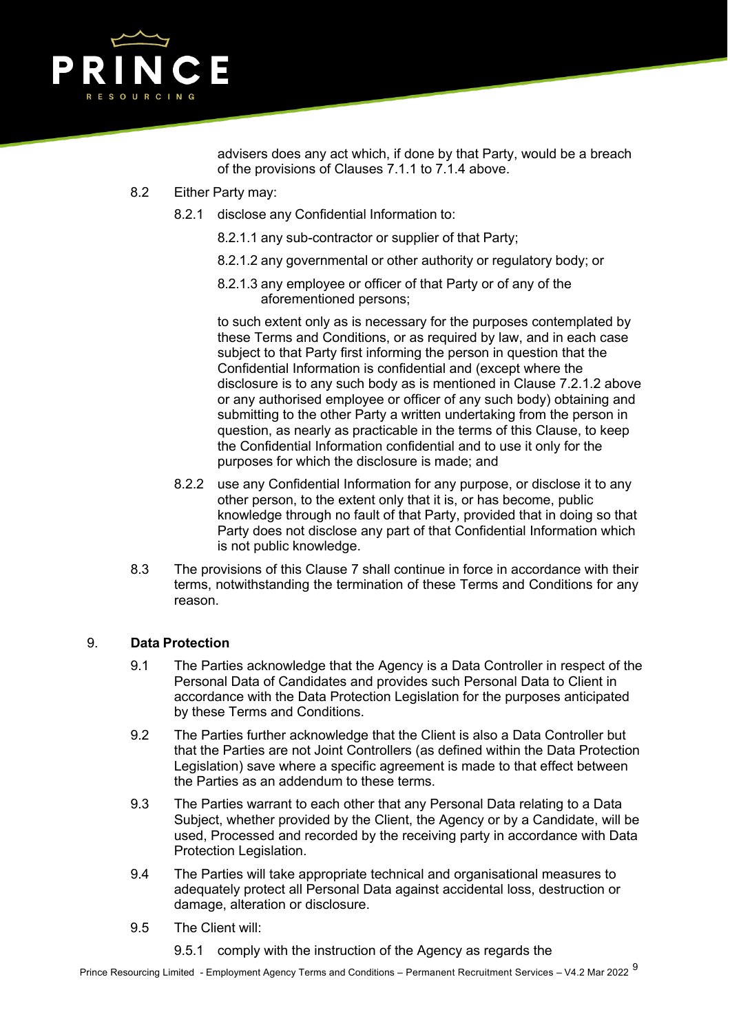

advisers does any act which, if done by that Party, would be a breach of the provisions of Clauses 7.1.1 to 7.1.4 above.

- 8.2 Either Party may:
	- 8.2.1 disclose any Confidential Information to:
		- 8.2.1.1 any sub-contractor or supplier of that Party;
		- 8.2.1.2 any governmental or other authority or regulatory body; or
		- 8.2.1.3 any employee or officer of that Party or of any of the aforementioned persons;

to such extent only as is necessary for the purposes contemplated by these Terms and Conditions, or as required by law, and in each case subject to that Party first informing the person in question that the Confidential Information is confidential and (except where the disclosure is to any such body as is mentioned in Clause 7.2.1.2 above or any authorised employee or officer of any such body) obtaining and submitting to the other Party a written undertaking from the person in question, as nearly as practicable in the terms of this Clause, to keep the Confidential Information confidential and to use it only for the purposes for which the disclosure is made; and

- 8.2.2 use any Confidential Information for any purpose, or disclose it to any other person, to the extent only that it is, or has become, public knowledge through no fault of that Party, provided that in doing so that Party does not disclose any part of that Confidential Information which is not public knowledge.
- 8.3 The provisions of this Clause 7 shall continue in force in accordance with their terms, notwithstanding the termination of these Terms and Conditions for any reason.

## 9. **Data Protection**

- 9.1 The Parties acknowledge that the Agency is a Data Controller in respect of the Personal Data of Candidates and provides such Personal Data to Client in accordance with the Data Protection Legislation for the purposes anticipated by these Terms and Conditions.
- 9.2 The Parties further acknowledge that the Client is also a Data Controller but that the Parties are not Joint Controllers (as defined within the Data Protection Legislation) save where a specific agreement is made to that effect between the Parties as an addendum to these terms.
- 9.3 The Parties warrant to each other that any Personal Data relating to a Data Subject, whether provided by the Client, the Agency or by a Candidate, will be used, Processed and recorded by the receiving party in accordance with Data Protection Legislation.
- 9.4 The Parties will take appropriate technical and organisational measures to adequately protect all Personal Data against accidental loss, destruction or damage, alteration or disclosure.
- 9.5 The Client will:
	- 9.5.1 comply with the instruction of the Agency as regards the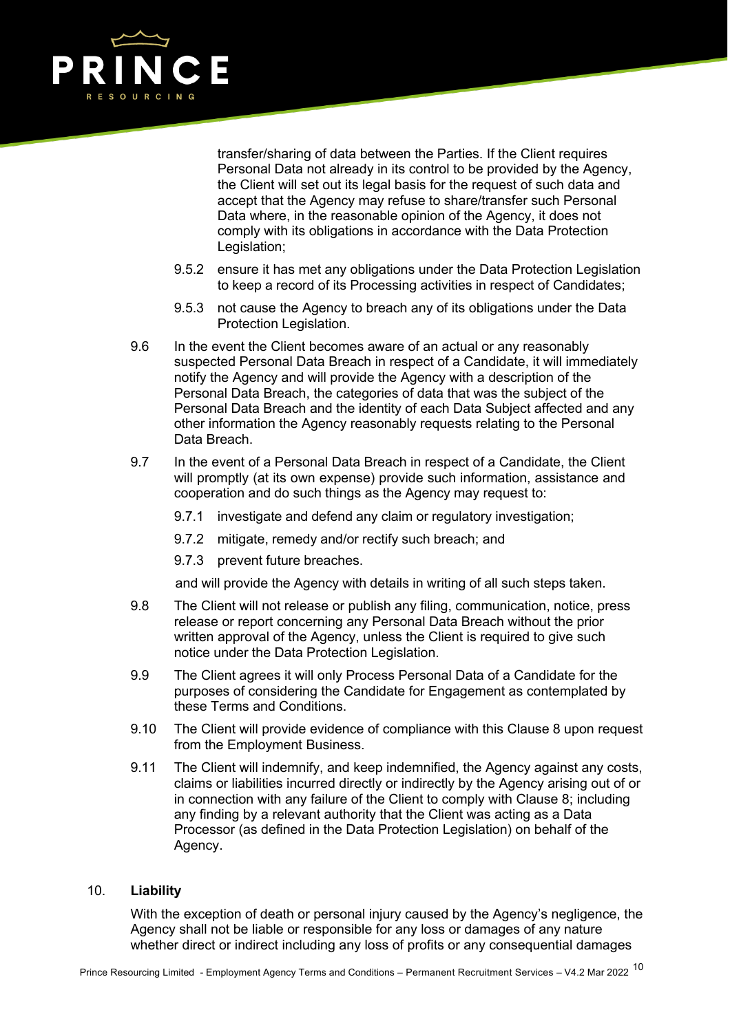

transfer/sharing of data between the Parties. If the Client requires Personal Data not already in its control to be provided by the Agency, the Client will set out its legal basis for the request of such data and accept that the Agency may refuse to share/transfer such Personal Data where, in the reasonable opinion of the Agency, it does not comply with its obligations in accordance with the Data Protection Legislation;

- 9.5.2 ensure it has met any obligations under the Data Protection Legislation to keep a record of its Processing activities in respect of Candidates;
- 9.5.3 not cause the Agency to breach any of its obligations under the Data Protection Legislation.
- 9.6 In the event the Client becomes aware of an actual or any reasonably suspected Personal Data Breach in respect of a Candidate, it will immediately notify the Agency and will provide the Agency with a description of the Personal Data Breach, the categories of data that was the subject of the Personal Data Breach and the identity of each Data Subject affected and any other information the Agency reasonably requests relating to the Personal Data Breach.
- 9.7 In the event of a Personal Data Breach in respect of a Candidate, the Client will promptly (at its own expense) provide such information, assistance and cooperation and do such things as the Agency may request to:
	- 9.7.1 investigate and defend any claim or regulatory investigation;
	- 9.7.2 mitigate, remedy and/or rectify such breach; and
	- 9.7.3 prevent future breaches.

and will provide the Agency with details in writing of all such steps taken.

- 9.8 The Client will not release or publish any filing, communication, notice, press release or report concerning any Personal Data Breach without the prior written approval of the Agency, unless the Client is required to give such notice under the Data Protection Legislation.
- 9.9 The Client agrees it will only Process Personal Data of a Candidate for the purposes of considering the Candidate for Engagement as contemplated by these Terms and Conditions.
- 9.10 The Client will provide evidence of compliance with this Clause 8 upon request from the Employment Business.
- 9.11 The Client will indemnify, and keep indemnified, the Agency against any costs, claims or liabilities incurred directly or indirectly by the Agency arising out of or in connection with any failure of the Client to comply with Clause 8; including any finding by a relevant authority that the Client was acting as a Data Processor (as defined in the Data Protection Legislation) on behalf of the Agency.

#### 10. **Liability**

With the exception of death or personal injury caused by the Agency's negligence, the Agency shall not be liable or responsible for any loss or damages of any nature whether direct or indirect including any loss of profits or any consequential damages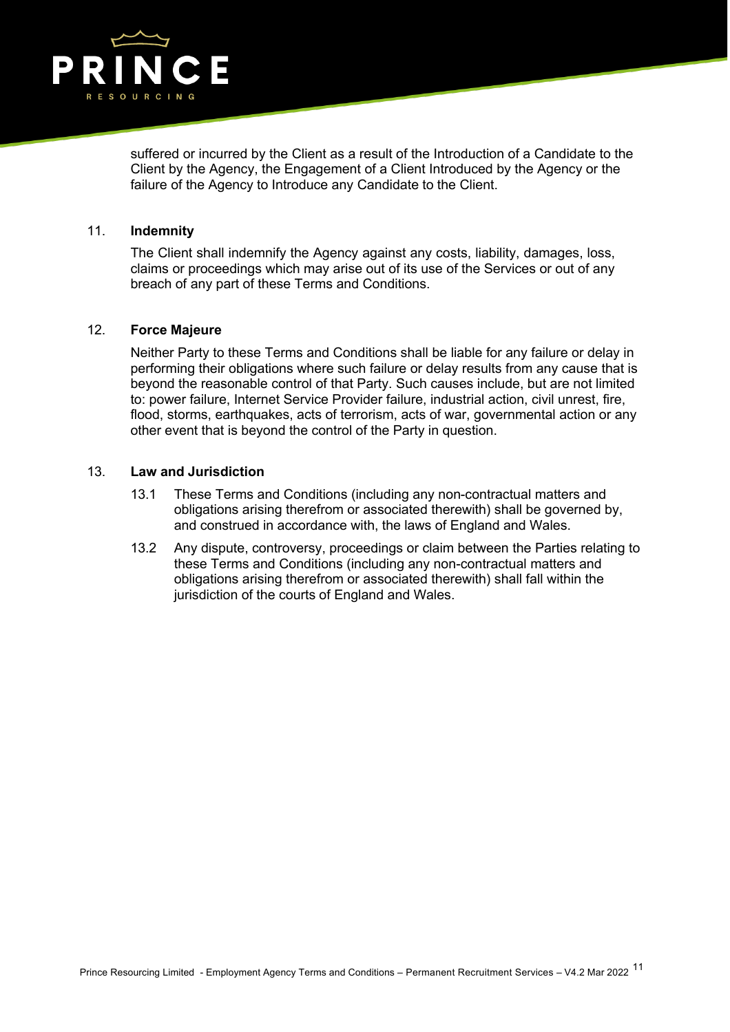

suffered or incurred by the Client as a result of the Introduction of a Candidate to the Client by the Agency, the Engagement of a Client Introduced by the Agency or the failure of the Agency to Introduce any Candidate to the Client.

#### 11. **Indemnity**

The Client shall indemnify the Agency against any costs, liability, damages, loss, claims or proceedings which may arise out of its use of the Services or out of any breach of any part of these Terms and Conditions.

### 12. **Force Majeure**

Neither Party to these Terms and Conditions shall be liable for any failure or delay in performing their obligations where such failure or delay results from any cause that is beyond the reasonable control of that Party. Such causes include, but are not limited to: power failure, Internet Service Provider failure, industrial action, civil unrest, fire, flood, storms, earthquakes, acts of terrorism, acts of war, governmental action or any other event that is beyond the control of the Party in question.

#### 13. **Law and Jurisdiction**

- 13.1 These Terms and Conditions (including any non-contractual matters and obligations arising therefrom or associated therewith) shall be governed by, and construed in accordance with, the laws of England and Wales.
- 13.2 Any dispute, controversy, proceedings or claim between the Parties relating to these Terms and Conditions (including any non-contractual matters and obligations arising therefrom or associated therewith) shall fall within the jurisdiction of the courts of England and Wales.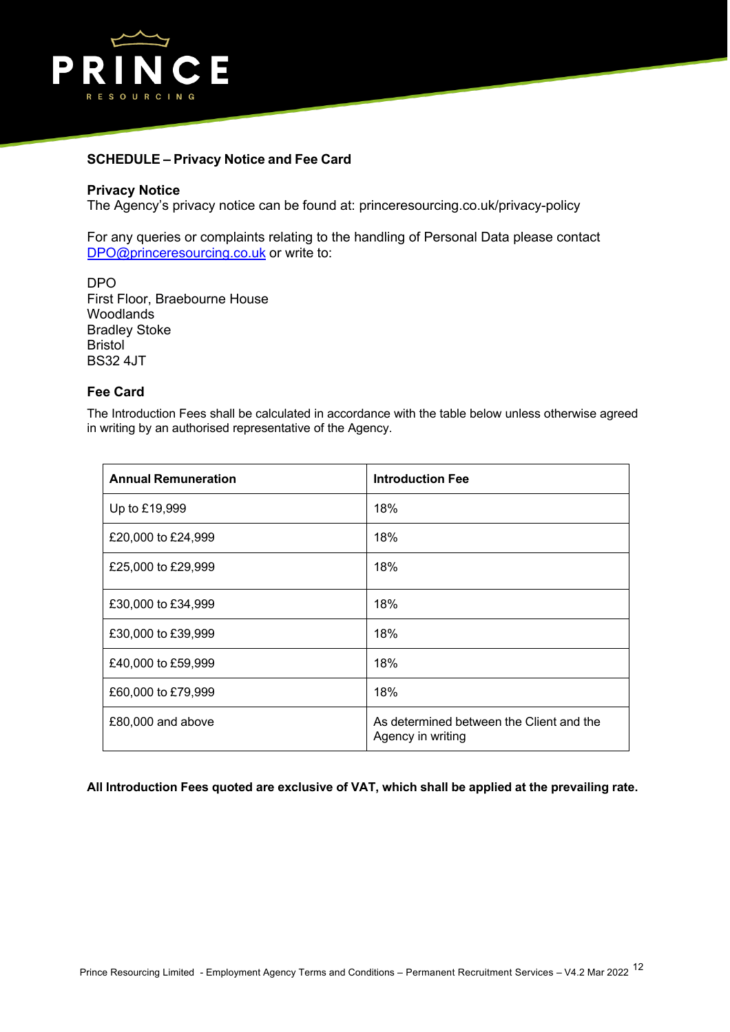

### **SCHEDULE – Privacy Notice and Fee Card**

#### **Privacy Notice**

The Agency's privacy notice can be found at: princeresourcing.co.uk/privacy-policy

For any queries or complaints relating to the handling of Personal Data please contact DPO@princeresourcing.co.uk or write to:

DPO First Floor, Braebourne House Woodlands Bradley Stoke Bristol BS32 4JT

### **Fee Card**

The Introduction Fees shall be calculated in accordance with the table below unless otherwise agreed in writing by an authorised representative of the Agency.

| <b>Annual Remuneration</b> | <b>Introduction Fee</b>                                       |
|----------------------------|---------------------------------------------------------------|
| Up to £19,999              | 18%                                                           |
| £20,000 to £24,999         | 18%                                                           |
| £25,000 to £29,999         | 18%                                                           |
| £30,000 to £34,999         | 18%                                                           |
| £30,000 to £39,999         | 18%                                                           |
| £40,000 to £59,999         | 18%                                                           |
| £60,000 to £79,999         | 18%                                                           |
| £80,000 and above          | As determined between the Client and the<br>Agency in writing |

**All Introduction Fees quoted are exclusive of VAT, which shall be applied at the prevailing rate.**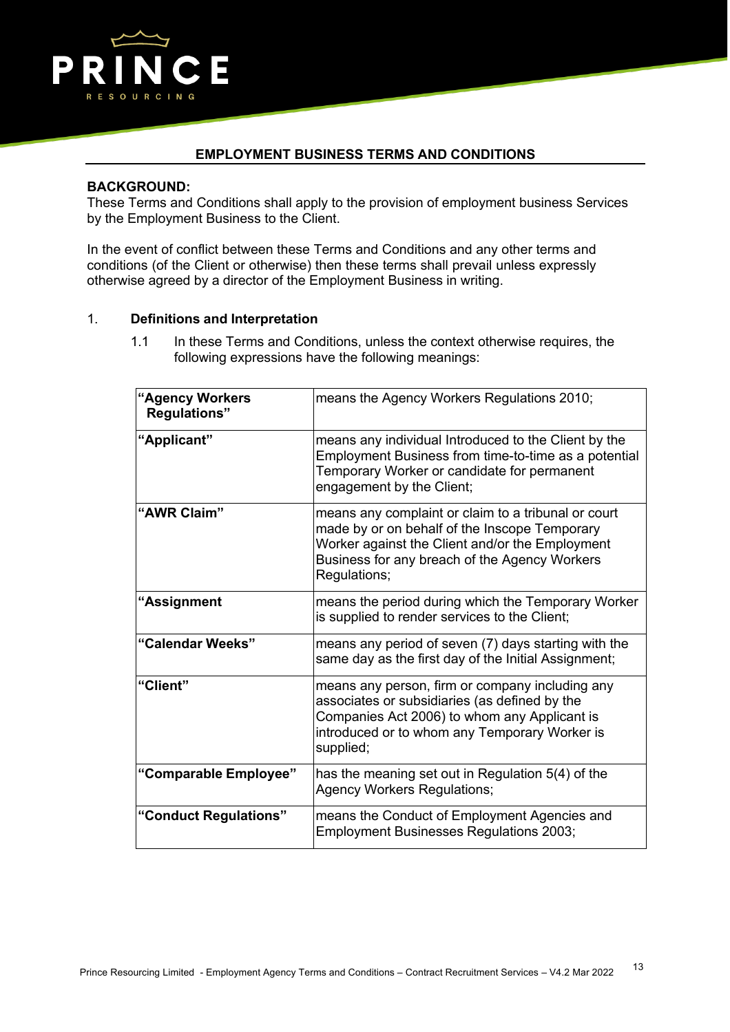

## **EMPLOYMENT BUSINESS TERMS AND CONDITIONS**

#### **BACKGROUND:**

These Terms and Conditions shall apply to the provision of employment business Services by the Employment Business to the Client.

In the event of conflict between these Terms and Conditions and any other terms and conditions (of the Client or otherwise) then these terms shall prevail unless expressly otherwise agreed by a director of the Employment Business in writing.

### 1. **Definitions and Interpretation**

1.1 In these Terms and Conditions, unless the context otherwise requires, the following expressions have the following meanings:

| <b>"Agency Workers</b> "<br><b>Regulations"</b> | means the Agency Workers Regulations 2010;                                                                                                                                                                               |
|-------------------------------------------------|--------------------------------------------------------------------------------------------------------------------------------------------------------------------------------------------------------------------------|
| "Applicant"                                     | means any individual Introduced to the Client by the<br>Employment Business from time-to-time as a potential<br>Temporary Worker or candidate for permanent<br>engagement by the Client;                                 |
| "AWR Claim"                                     | means any complaint or claim to a tribunal or court<br>made by or on behalf of the Inscope Temporary<br>Worker against the Client and/or the Employment<br>Business for any breach of the Agency Workers<br>Regulations; |
| "Assignment                                     | means the period during which the Temporary Worker<br>is supplied to render services to the Client;                                                                                                                      |
| "Calendar Weeks"                                | means any period of seven (7) days starting with the<br>same day as the first day of the Initial Assignment;                                                                                                             |
| "Client"                                        | means any person, firm or company including any<br>associates or subsidiaries (as defined by the<br>Companies Act 2006) to whom any Applicant is<br>introduced or to whom any Temporary Worker is<br>supplied;           |
| "Comparable Employee"                           | has the meaning set out in Regulation 5(4) of the<br><b>Agency Workers Regulations;</b>                                                                                                                                  |
| "Conduct Regulations"                           | means the Conduct of Employment Agencies and<br><b>Employment Businesses Regulations 2003;</b>                                                                                                                           |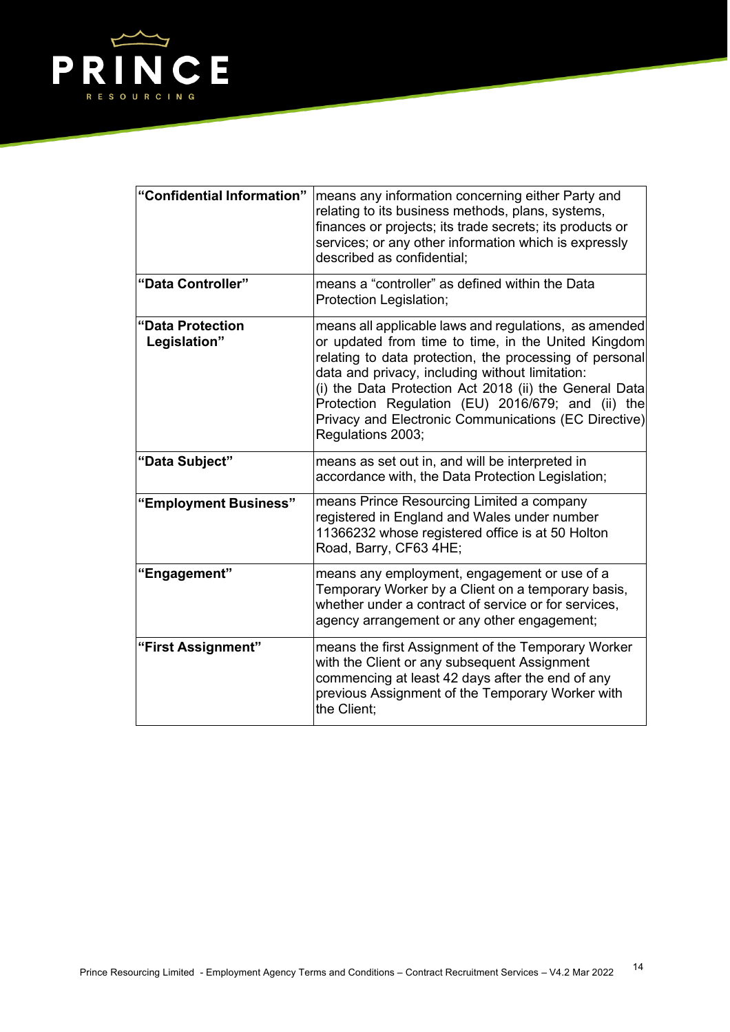

| "Confidential Information"       | means any information concerning either Party and<br>relating to its business methods, plans, systems,<br>finances or projects; its trade secrets; its products or<br>services; or any other information which is expressly<br>described as confidential;                                                                                                                                                              |
|----------------------------------|------------------------------------------------------------------------------------------------------------------------------------------------------------------------------------------------------------------------------------------------------------------------------------------------------------------------------------------------------------------------------------------------------------------------|
| "Data Controller"                | means a "controller" as defined within the Data<br>Protection Legislation;                                                                                                                                                                                                                                                                                                                                             |
| "Data Protection<br>Legislation" | means all applicable laws and regulations, as amended<br>or updated from time to time, in the United Kingdom<br>relating to data protection, the processing of personal<br>data and privacy, including without limitation:<br>(i) the Data Protection Act 2018 (ii) the General Data<br>Protection Regulation (EU) 2016/679; and (ii) the<br>Privacy and Electronic Communications (EC Directive)<br>Regulations 2003; |
| "Data Subject"                   | means as set out in, and will be interpreted in<br>accordance with, the Data Protection Legislation;                                                                                                                                                                                                                                                                                                                   |
| "Employment Business"            | means Prince Resourcing Limited a company<br>registered in England and Wales under number<br>11366232 whose registered office is at 50 Holton<br>Road, Barry, CF63 4HE;                                                                                                                                                                                                                                                |
| "Engagement"                     | means any employment, engagement or use of a<br>Temporary Worker by a Client on a temporary basis,<br>whether under a contract of service or for services,<br>agency arrangement or any other engagement;                                                                                                                                                                                                              |
| "First Assignment"               | means the first Assignment of the Temporary Worker<br>with the Client or any subsequent Assignment<br>commencing at least 42 days after the end of any<br>previous Assignment of the Temporary Worker with<br>the Client:                                                                                                                                                                                              |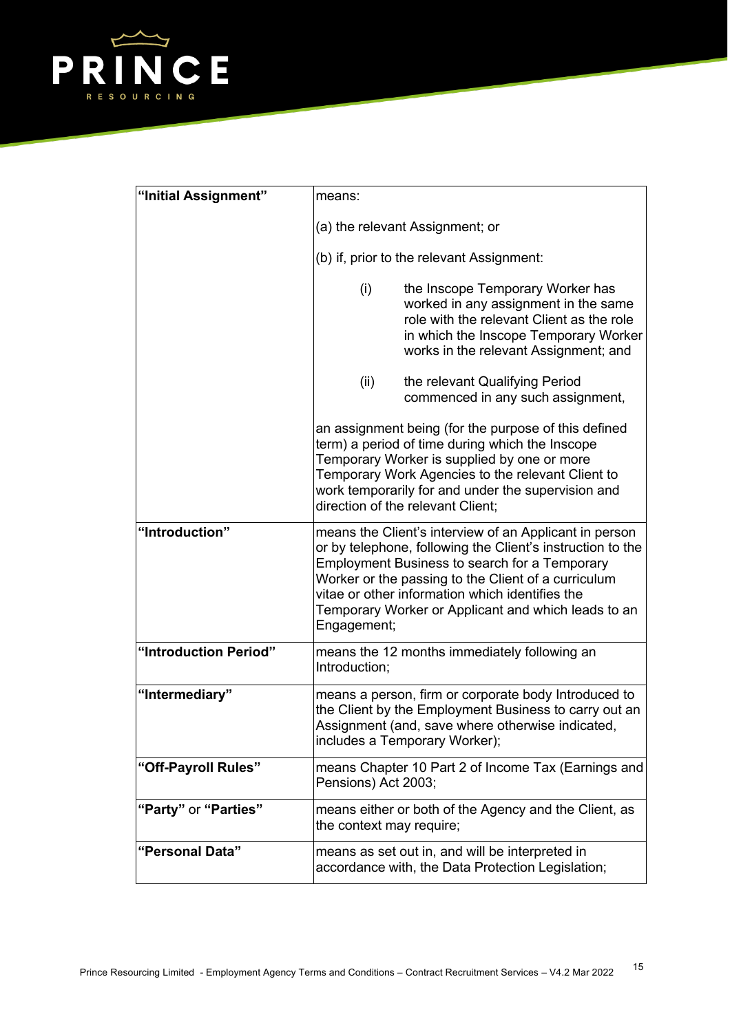

| "Initial Assignment"  | means:                                                                                                                                                                                            |                                                                                                                                                                                                                                                                                                                                               |
|-----------------------|---------------------------------------------------------------------------------------------------------------------------------------------------------------------------------------------------|-----------------------------------------------------------------------------------------------------------------------------------------------------------------------------------------------------------------------------------------------------------------------------------------------------------------------------------------------|
|                       | (a) the relevant Assignment; or                                                                                                                                                                   |                                                                                                                                                                                                                                                                                                                                               |
|                       | (b) if, prior to the relevant Assignment:                                                                                                                                                         |                                                                                                                                                                                                                                                                                                                                               |
|                       | (i)                                                                                                                                                                                               | the Inscope Temporary Worker has<br>worked in any assignment in the same<br>role with the relevant Client as the role<br>in which the Inscope Temporary Worker<br>works in the relevant Assignment; and                                                                                                                                       |
|                       | (ii)                                                                                                                                                                                              | the relevant Qualifying Period<br>commenced in any such assignment,                                                                                                                                                                                                                                                                           |
|                       | direction of the relevant Client;                                                                                                                                                                 | an assignment being (for the purpose of this defined<br>term) a period of time during which the Inscope<br>Temporary Worker is supplied by one or more<br>Temporary Work Agencies to the relevant Client to<br>work temporarily for and under the supervision and                                                                             |
| "Introduction"        | Engagement;                                                                                                                                                                                       | means the Client's interview of an Applicant in person<br>or by telephone, following the Client's instruction to the<br><b>Employment Business to search for a Temporary</b><br>Worker or the passing to the Client of a curriculum<br>vitae or other information which identifies the<br>Temporary Worker or Applicant and which leads to an |
| "Introduction Period" | Introduction;                                                                                                                                                                                     | means the 12 months immediately following an                                                                                                                                                                                                                                                                                                  |
| "Intermediary"        | means a person, firm or corporate body Introduced to<br>the Client by the Employment Business to carry out an<br>Assignment (and, save where otherwise indicated<br>includes a Temporary Worker); |                                                                                                                                                                                                                                                                                                                                               |
| "Off-Payroll Rules"   | Pensions) Act 2003;                                                                                                                                                                               | means Chapter 10 Part 2 of Income Tax (Earnings and                                                                                                                                                                                                                                                                                           |
| "Party" or "Parties"  | the context may require;                                                                                                                                                                          | means either or both of the Agency and the Client, as                                                                                                                                                                                                                                                                                         |
| "Personal Data"       |                                                                                                                                                                                                   | means as set out in, and will be interpreted in<br>accordance with, the Data Protection Legislation;                                                                                                                                                                                                                                          |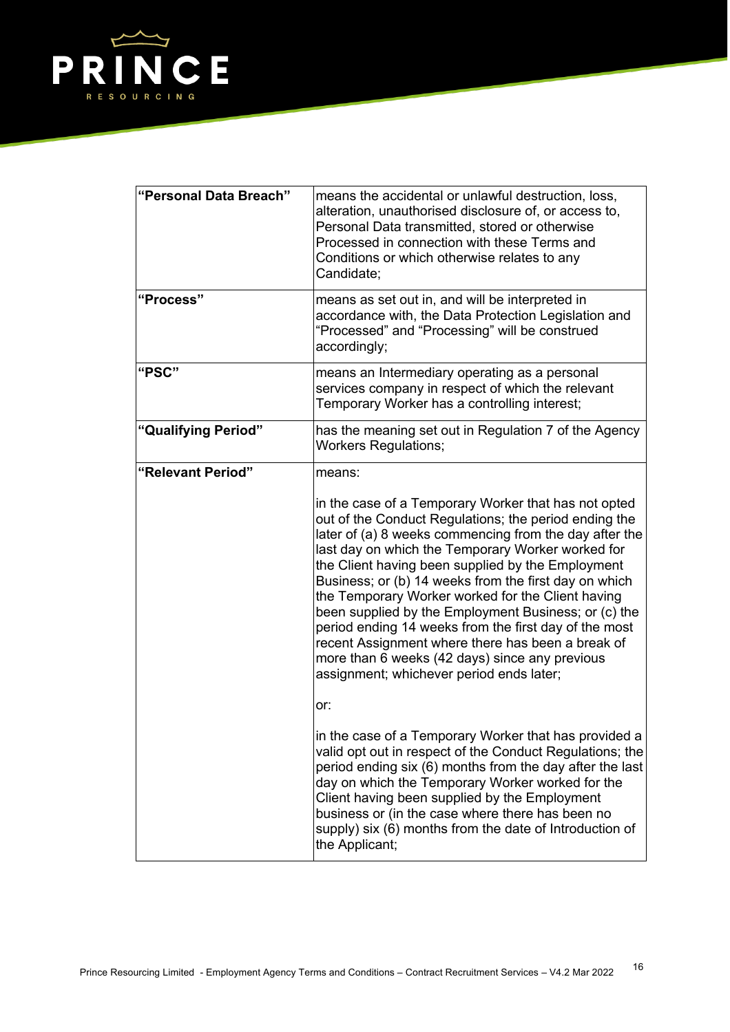

| "Personal Data Breach" | means the accidental or unlawful destruction, loss,<br>alteration, unauthorised disclosure of, or access to,<br>Personal Data transmitted, stored or otherwise<br>Processed in connection with these Terms and<br>Conditions or which otherwise relates to any<br>Candidate;                                                                                                                                                                                                                                                                                                                                                                                        |
|------------------------|---------------------------------------------------------------------------------------------------------------------------------------------------------------------------------------------------------------------------------------------------------------------------------------------------------------------------------------------------------------------------------------------------------------------------------------------------------------------------------------------------------------------------------------------------------------------------------------------------------------------------------------------------------------------|
| "Process"              | means as set out in, and will be interpreted in<br>accordance with, the Data Protection Legislation and<br>"Processed" and "Processing" will be construed<br>accordingly;                                                                                                                                                                                                                                                                                                                                                                                                                                                                                           |
| "PSC"                  | means an Intermediary operating as a personal<br>services company in respect of which the relevant<br>Temporary Worker has a controlling interest;                                                                                                                                                                                                                                                                                                                                                                                                                                                                                                                  |
| "Qualifying Period"    | has the meaning set out in Regulation 7 of the Agency<br><b>Workers Regulations;</b>                                                                                                                                                                                                                                                                                                                                                                                                                                                                                                                                                                                |
| "Relevant Period"      | means:                                                                                                                                                                                                                                                                                                                                                                                                                                                                                                                                                                                                                                                              |
|                        | in the case of a Temporary Worker that has not opted<br>out of the Conduct Regulations; the period ending the<br>later of (a) 8 weeks commencing from the day after the<br>last day on which the Temporary Worker worked for<br>the Client having been supplied by the Employment<br>Business; or (b) 14 weeks from the first day on which<br>the Temporary Worker worked for the Client having<br>been supplied by the Employment Business; or (c) the<br>period ending 14 weeks from the first day of the most<br>recent Assignment where there has been a break of<br>more than 6 weeks (42 days) since any previous<br>assignment; whichever period ends later; |
|                        | or:                                                                                                                                                                                                                                                                                                                                                                                                                                                                                                                                                                                                                                                                 |
|                        | in the case of a Temporary Worker that has provided a<br>valid opt out in respect of the Conduct Regulations; the<br>period ending six (6) months from the day after the last<br>day on which the Temporary Worker worked for the<br>Client having been supplied by the Employment<br>business or (in the case where there has been no<br>supply) six (6) months from the date of Introduction of<br>the Applicant;                                                                                                                                                                                                                                                 |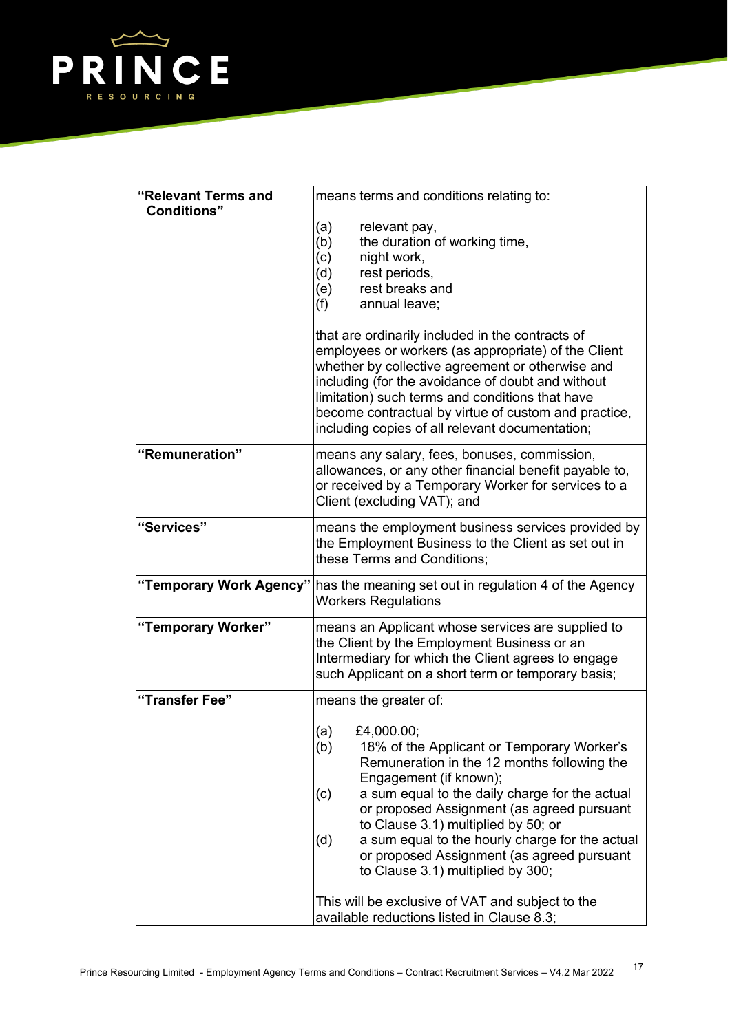

| "Relevant Terms and<br><b>Conditions"</b> | means terms and conditions relating to:<br>(a)<br>relevant pay,<br>(b)<br>the duration of working time,<br>(c)<br>night work,<br>(d)<br>rest periods,<br>rest breaks and<br>(e)<br>(f)<br>annual leave;<br>that are ordinarily included in the contracts of<br>employees or workers (as appropriate) of the Client<br>whether by collective agreement or otherwise and<br>including (for the avoidance of doubt and without<br>limitation) such terms and conditions that have<br>become contractual by virtue of custom and practice,<br>including copies of all relevant documentation; |  |
|-------------------------------------------|-------------------------------------------------------------------------------------------------------------------------------------------------------------------------------------------------------------------------------------------------------------------------------------------------------------------------------------------------------------------------------------------------------------------------------------------------------------------------------------------------------------------------------------------------------------------------------------------|--|
| "Remuneration"                            | means any salary, fees, bonuses, commission,<br>allowances, or any other financial benefit payable to,<br>or received by a Temporary Worker for services to a                                                                                                                                                                                                                                                                                                                                                                                                                             |  |
|                                           | Client (excluding VAT); and                                                                                                                                                                                                                                                                                                                                                                                                                                                                                                                                                               |  |
| "Services"                                | means the employment business services provided by<br>the Employment Business to the Client as set out in<br>these Terms and Conditions;                                                                                                                                                                                                                                                                                                                                                                                                                                                  |  |
|                                           | "Temporary Work Agency" has the meaning set out in regulation 4 of the Agency<br><b>Workers Regulations</b>                                                                                                                                                                                                                                                                                                                                                                                                                                                                               |  |
| "Temporary Worker"                        | means an Applicant whose services are supplied to<br>the Client by the Employment Business or an<br>Intermediary for which the Client agrees to engage<br>such Applicant on a short term or temporary basis;                                                                                                                                                                                                                                                                                                                                                                              |  |
| "Transfer Fee"                            | means the greater of:                                                                                                                                                                                                                                                                                                                                                                                                                                                                                                                                                                     |  |
|                                           | (a)<br>£4,000.00;<br>(b)<br>18% of the Applicant or Temporary Worker's<br>Remuneration in the 12 months following the<br>Engagement (if known);<br>a sum equal to the daily charge for the actual<br>(c)<br>or proposed Assignment (as agreed pursuant<br>to Clause 3.1) multiplied by 50; or<br>a sum equal to the hourly charge for the actual<br>(d)<br>or proposed Assignment (as agreed pursuant<br>to Clause 3.1) multiplied by 300;                                                                                                                                                |  |
|                                           | This will be exclusive of VAT and subject to the<br>available reductions listed in Clause 8.3;                                                                                                                                                                                                                                                                                                                                                                                                                                                                                            |  |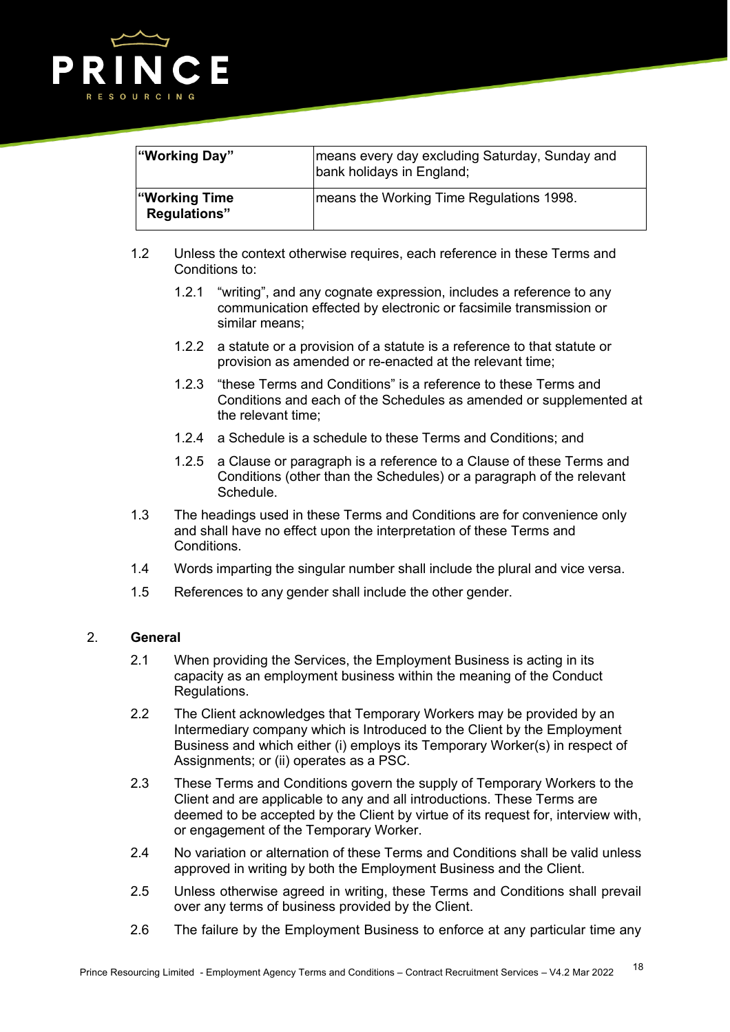

| "Working Day"                         | means every day excluding Saturday, Sunday and<br>bank holidays in England; |
|---------------------------------------|-----------------------------------------------------------------------------|
| ∣"Working Time<br><b>Regulations"</b> | means the Working Time Regulations 1998.                                    |

- 1.2 Unless the context otherwise requires, each reference in these Terms and Conditions to:
	- 1.2.1 "writing", and any cognate expression, includes a reference to any communication effected by electronic or facsimile transmission or similar means;
	- 1.2.2 a statute or a provision of a statute is a reference to that statute or provision as amended or re-enacted at the relevant time;
	- 1.2.3 "these Terms and Conditions" is a reference to these Terms and Conditions and each of the Schedules as amended or supplemented at the relevant time;
	- 1.2.4 a Schedule is a schedule to these Terms and Conditions; and
	- 1.2.5 a Clause or paragraph is a reference to a Clause of these Terms and Conditions (other than the Schedules) or a paragraph of the relevant Schedule.
- 1.3 The headings used in these Terms and Conditions are for convenience only and shall have no effect upon the interpretation of these Terms and Conditions.
- 1.4 Words imparting the singular number shall include the plural and vice versa.
- 1.5 References to any gender shall include the other gender.

### 2. **General**

- 2.1 When providing the Services, the Employment Business is acting in its capacity as an employment business within the meaning of the Conduct Regulations.
- 2.2 The Client acknowledges that Temporary Workers may be provided by an Intermediary company which is Introduced to the Client by the Employment Business and which either (i) employs its Temporary Worker(s) in respect of Assignments; or (ii) operates as a PSC.
- 2.3 These Terms and Conditions govern the supply of Temporary Workers to the Client and are applicable to any and all introductions. These Terms are deemed to be accepted by the Client by virtue of its request for, interview with, or engagement of the Temporary Worker.
- 2.4 No variation or alternation of these Terms and Conditions shall be valid unless approved in writing by both the Employment Business and the Client.
- 2.5 Unless otherwise agreed in writing, these Terms and Conditions shall prevail over any terms of business provided by the Client.
- 2.6 The failure by the Employment Business to enforce at any particular time any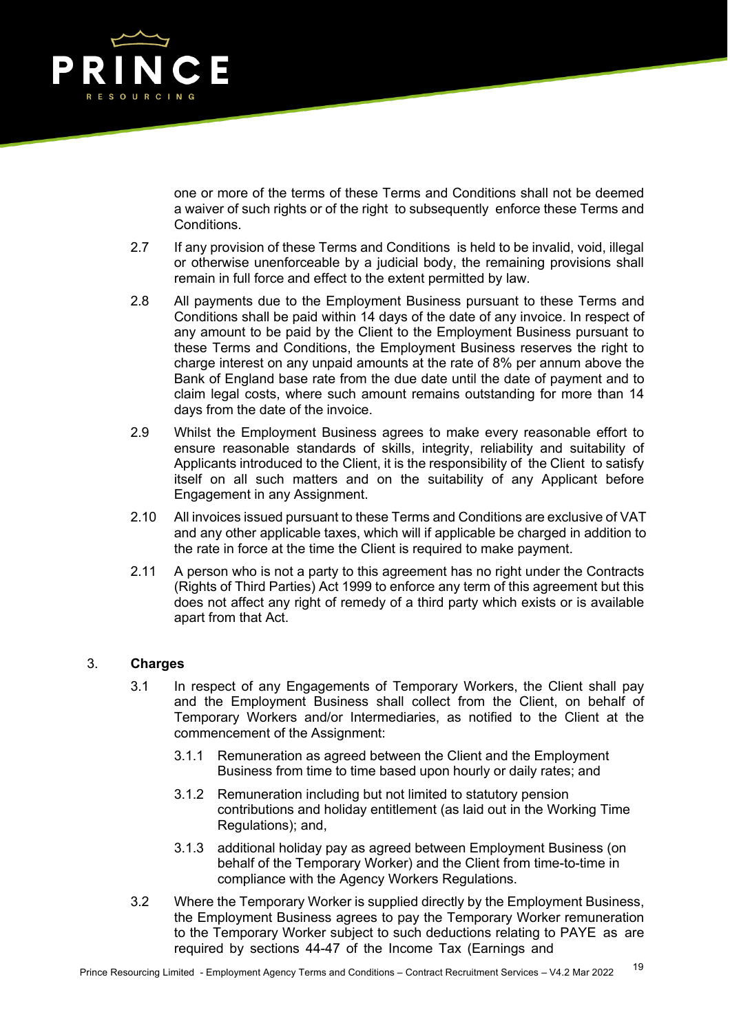

one or more of the terms of these Terms and Conditions shall not be deemed a waiver of such rights or of the right to subsequently enforce these Terms and **Conditions** 

- 2.7 If any provision of these Terms and Conditions is held to be invalid, void, illegal or otherwise unenforceable by a judicial body, the remaining provisions shall remain in full force and effect to the extent permitted by law.
- 2.8 All payments due to the Employment Business pursuant to these Terms and Conditions shall be paid within 14 days of the date of any invoice. In respect of any amount to be paid by the Client to the Employment Business pursuant to these Terms and Conditions, the Employment Business reserves the right to charge interest on any unpaid amounts at the rate of 8% per annum above the Bank of England base rate from the due date until the date of payment and to claim legal costs, where such amount remains outstanding for more than 14 days from the date of the invoice.
- 2.9 Whilst the Employment Business agrees to make every reasonable effort to ensure reasonable standards of skills, integrity, reliability and suitability of Applicants introduced to the Client, it is the responsibility of the Client to satisfy itself on all such matters and on the suitability of any Applicant before Engagement in any Assignment.
- 2.10 All invoices issued pursuant to these Terms and Conditions are exclusive of VAT and any other applicable taxes, which will if applicable be charged in addition to the rate in force at the time the Client is required to make payment.
- 2.11 A person who is not a party to this agreement has no right under the Contracts (Rights of Third Parties) Act 1999 to enforce any term of this agreement but this does not affect any right of remedy of a third party which exists or is available apart from that Act.

# 3. **Charges**

- 3.1 In respect of any Engagements of Temporary Workers, the Client shall pay and the Employment Business shall collect from the Client, on behalf of Temporary Workers and/or Intermediaries, as notified to the Client at the commencement of the Assignment:
	- 3.1.1 Remuneration as agreed between the Client and the Employment Business from time to time based upon hourly or daily rates; and
	- 3.1.2 Remuneration including but not limited to statutory pension contributions and holiday entitlement (as laid out in the Working Time Regulations); and,
	- 3.1.3 additional holiday pay as agreed between Employment Business (on behalf of the Temporary Worker) and the Client from time-to-time in compliance with the Agency Workers Regulations.
- 3.2 Where the Temporary Worker is supplied directly by the Employment Business, the Employment Business agrees to pay the Temporary Worker remuneration to the Temporary Worker subject to such deductions relating to PAYE as are required by sections 44-47 of the Income Tax (Earnings and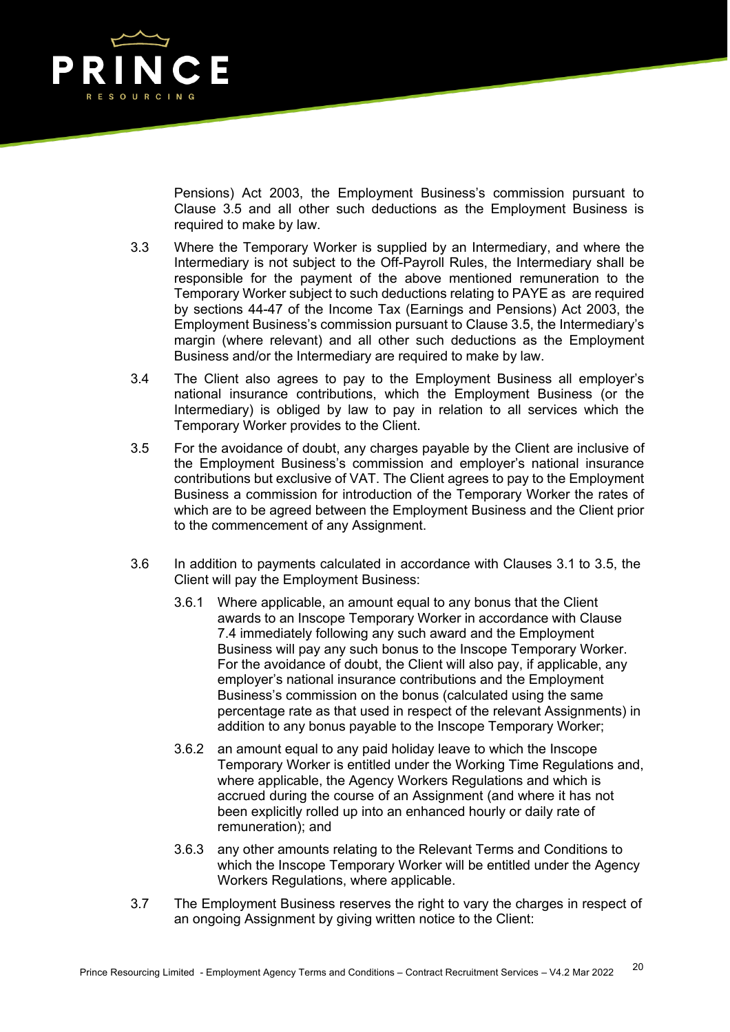

Pensions) Act 2003, the Employment Business's commission pursuant to Clause 3.5 and all other such deductions as the Employment Business is required to make by law.

- 3.3 Where the Temporary Worker is supplied by an Intermediary, and where the Intermediary is not subject to the Off-Payroll Rules, the Intermediary shall be responsible for the payment of the above mentioned remuneration to the Temporary Worker subject to such deductions relating to PAYE as are required by sections 44-47 of the Income Tax (Earnings and Pensions) Act 2003, the Employment Business's commission pursuant to Clause 3.5, the Intermediary's margin (where relevant) and all other such deductions as the Employment Business and/or the Intermediary are required to make by law.
- 3.4 The Client also agrees to pay to the Employment Business all employer's national insurance contributions, which the Employment Business (or the Intermediary) is obliged by law to pay in relation to all services which the Temporary Worker provides to the Client.
- 3.5 For the avoidance of doubt, any charges payable by the Client are inclusive of the Employment Business's commission and employer's national insurance contributions but exclusive of VAT. The Client agrees to pay to the Employment Business a commission for introduction of the Temporary Worker the rates of which are to be agreed between the Employment Business and the Client prior to the commencement of any Assignment.
- 3.6 In addition to payments calculated in accordance with Clauses 3.1 to 3.5, the Client will pay the Employment Business:
	- 3.6.1 Where applicable, an amount equal to any bonus that the Client awards to an Inscope Temporary Worker in accordance with Clause 7.4 immediately following any such award and the Employment Business will pay any such bonus to the Inscope Temporary Worker. For the avoidance of doubt, the Client will also pay, if applicable, any employer's national insurance contributions and the Employment Business's commission on the bonus (calculated using the same percentage rate as that used in respect of the relevant Assignments) in addition to any bonus payable to the Inscope Temporary Worker;
	- 3.6.2 an amount equal to any paid holiday leave to which the Inscope Temporary Worker is entitled under the Working Time Regulations and, where applicable, the Agency Workers Regulations and which is accrued during the course of an Assignment (and where it has not been explicitly rolled up into an enhanced hourly or daily rate of remuneration); and
	- 3.6.3 any other amounts relating to the Relevant Terms and Conditions to which the Inscope Temporary Worker will be entitled under the Agency Workers Regulations, where applicable.
- 3.7 The Employment Business reserves the right to vary the charges in respect of an ongoing Assignment by giving written notice to the Client: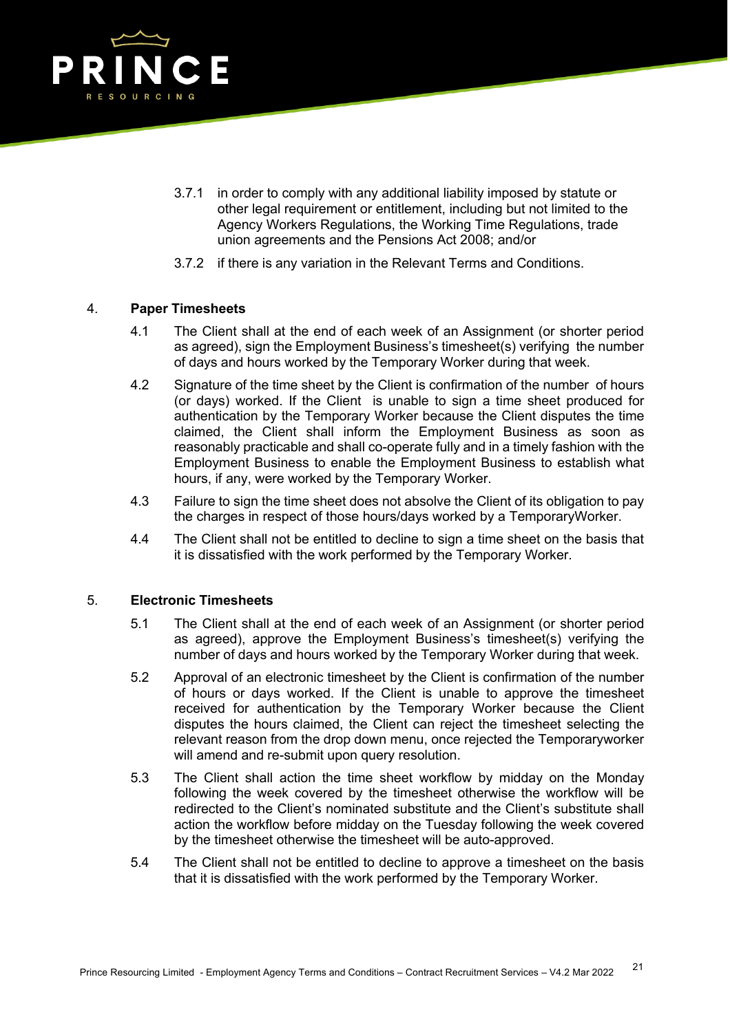

- 3.7.1 in order to comply with any additional liability imposed by statute or other legal requirement or entitlement, including but not limited to the Agency Workers Regulations, the Working Time Regulations, trade union agreements and the Pensions Act 2008; and/or
- 3.7.2 if there is any variation in the Relevant Terms and Conditions.

## 4. **Paper Timesheets**

- 4.1 The Client shall at the end of each week of an Assignment (or shorter period as agreed), sign the Employment Business's timesheet(s) verifying the number of days and hours worked by the Temporary Worker during that week.
- 4.2 Signature of the time sheet by the Client is confirmation of the number of hours (or days) worked. If the Client is unable to sign a time sheet produced for authentication by the Temporary Worker because the Client disputes the time claimed, the Client shall inform the Employment Business as soon as reasonably practicable and shall co-operate fully and in a timely fashion with the Employment Business to enable the Employment Business to establish what hours, if any, were worked by the Temporary Worker.
- 4.3 Failure to sign the time sheet does not absolve the Client of its obligation to pay the charges in respect of those hours/days worked by a TemporaryWorker.
- 4.4 The Client shall not be entitled to decline to sign a time sheet on the basis that it is dissatisfied with the work performed by the Temporary Worker.

## 5. **Electronic Timesheets**

- 5.1 The Client shall at the end of each week of an Assignment (or shorter period as agreed), approve the Employment Business's timesheet(s) verifying the number of days and hours worked by the Temporary Worker during that week.
- 5.2 Approval of an electronic timesheet by the Client is confirmation of the number of hours or days worked. If the Client is unable to approve the timesheet received for authentication by the Temporary Worker because the Client disputes the hours claimed, the Client can reject the timesheet selecting the relevant reason from the drop down menu, once rejected the Temporaryworker will amend and re-submit upon query resolution.
- 5.3 The Client shall action the time sheet workflow by midday on the Monday following the week covered by the timesheet otherwise the workflow will be redirected to the Client's nominated substitute and the Client's substitute shall action the workflow before midday on the Tuesday following the week covered by the timesheet otherwise the timesheet will be auto-approved.
- 5.4 The Client shall not be entitled to decline to approve a timesheet on the basis that it is dissatisfied with the work performed by the Temporary Worker.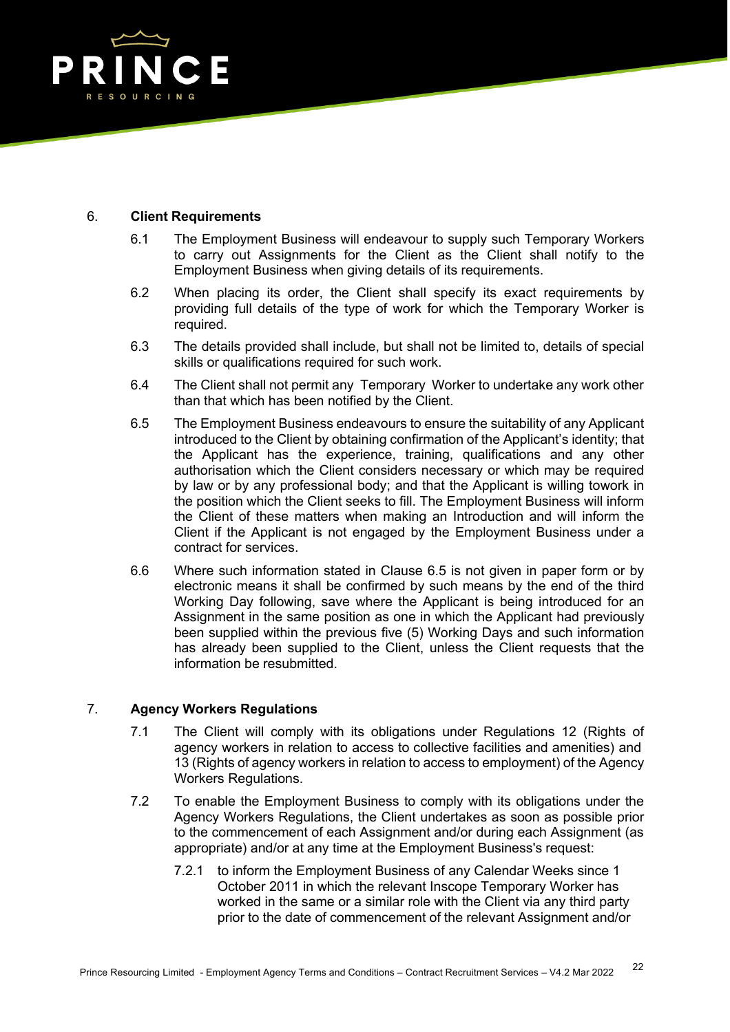

### 6. **Client Requirements**

- 6.1 The Employment Business will endeavour to supply such Temporary Workers to carry out Assignments for the Client as the Client shall notify to the Employment Business when giving details of its requirements.
- 6.2 When placing its order, the Client shall specify its exact requirements by providing full details of the type of work for which the Temporary Worker is required.
- 6.3 The details provided shall include, but shall not be limited to, details of special skills or qualifications required for such work.
- 6.4 The Client shall not permit any Temporary Worker to undertake any work other than that which has been notified by the Client.
- 6.5 The Employment Business endeavours to ensure the suitability of any Applicant introduced to the Client by obtaining confirmation of the Applicant's identity; that the Applicant has the experience, training, qualifications and any other authorisation which the Client considers necessary or which may be required by law or by any professional body; and that the Applicant is willing towork in the position which the Client seeks to fill. The Employment Business will inform the Client of these matters when making an Introduction and will inform the Client if the Applicant is not engaged by the Employment Business under a contract for services.
- 6.6 Where such information stated in Clause 6.5 is not given in paper form or by electronic means it shall be confirmed by such means by the end of the third Working Day following, save where the Applicant is being introduced for an Assignment in the same position as one in which the Applicant had previously been supplied within the previous five (5) Working Days and such information has already been supplied to the Client, unless the Client requests that the information be resubmitted.

## 7. **Agency Workers Regulations**

- 7.1 The Client will comply with its obligations under Regulations 12 (Rights of agency workers in relation to access to collective facilities and amenities) and 13 (Rights of agency workers in relation to access to employment) of the Agency Workers Regulations.
- 7.2 To enable the Employment Business to comply with its obligations under the Agency Workers Regulations, the Client undertakes as soon as possible prior to the commencement of each Assignment and/or during each Assignment (as appropriate) and/or at any time at the Employment Business's request:
	- 7.2.1 to inform the Employment Business of any Calendar Weeks since 1 October 2011 in which the relevant Inscope Temporary Worker has worked in the same or a similar role with the Client via any third party prior to the date of commencement of the relevant Assignment and/or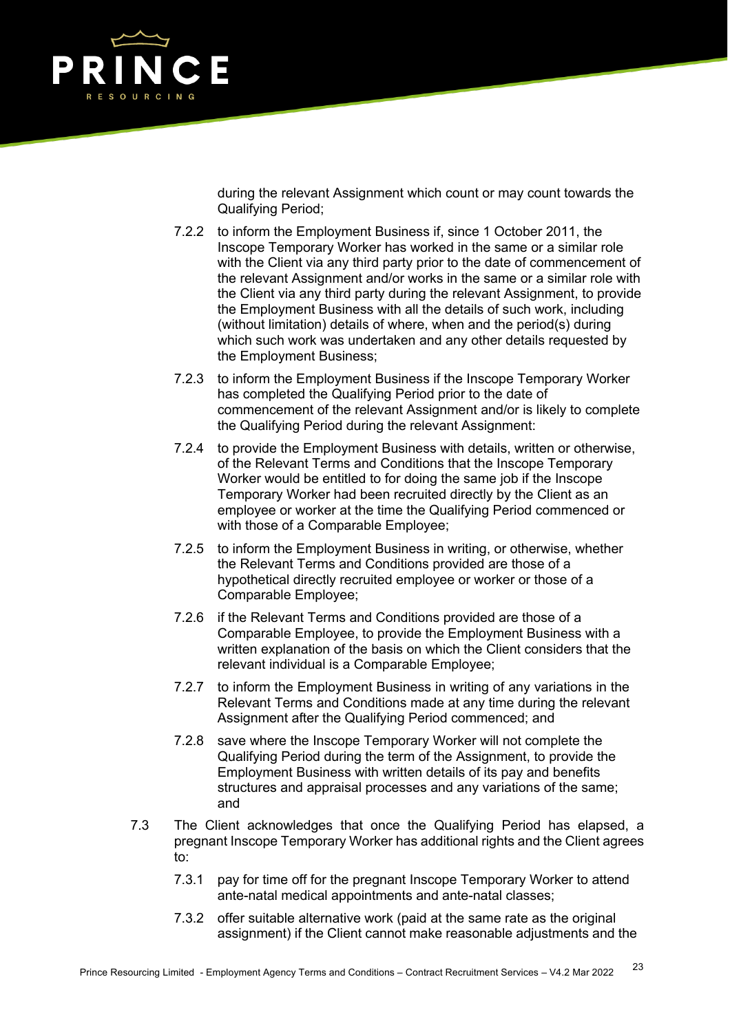

during the relevant Assignment which count or may count towards the Qualifying Period;

- 7.2.2 to inform the Employment Business if, since 1 October 2011, the Inscope Temporary Worker has worked in the same or a similar role with the Client via any third party prior to the date of commencement of the relevant Assignment and/or works in the same or a similar role with the Client via any third party during the relevant Assignment, to provide the Employment Business with all the details of such work, including (without limitation) details of where, when and the period(s) during which such work was undertaken and any other details requested by the Employment Business;
- 7.2.3 to inform the Employment Business if the Inscope Temporary Worker has completed the Qualifying Period prior to the date of commencement of the relevant Assignment and/or is likely to complete the Qualifying Period during the relevant Assignment:
- 7.2.4 to provide the Employment Business with details, written or otherwise, of the Relevant Terms and Conditions that the Inscope Temporary Worker would be entitled to for doing the same job if the Inscope Temporary Worker had been recruited directly by the Client as an employee or worker at the time the Qualifying Period commenced or with those of a Comparable Employee;
- 7.2.5 to inform the Employment Business in writing, or otherwise, whether the Relevant Terms and Conditions provided are those of a hypothetical directly recruited employee or worker or those of a Comparable Employee;
- 7.2.6 if the Relevant Terms and Conditions provided are those of a Comparable Employee, to provide the Employment Business with a written explanation of the basis on which the Client considers that the relevant individual is a Comparable Employee;
- 7.2.7 to inform the Employment Business in writing of any variations in the Relevant Terms and Conditions made at any time during the relevant Assignment after the Qualifying Period commenced; and
- 7.2.8 save where the Inscope Temporary Worker will not complete the Qualifying Period during the term of the Assignment, to provide the Employment Business with written details of its pay and benefits structures and appraisal processes and any variations of the same; and
- 7.3 The Client acknowledges that once the Qualifying Period has elapsed, a pregnant Inscope Temporary Worker has additional rights and the Client agrees to:
	- 7.3.1 pay for time off for the pregnant Inscope Temporary Worker to attend ante-natal medical appointments and ante-natal classes;
	- 7.3.2 offer suitable alternative work (paid at the same rate as the original assignment) if the Client cannot make reasonable adjustments and the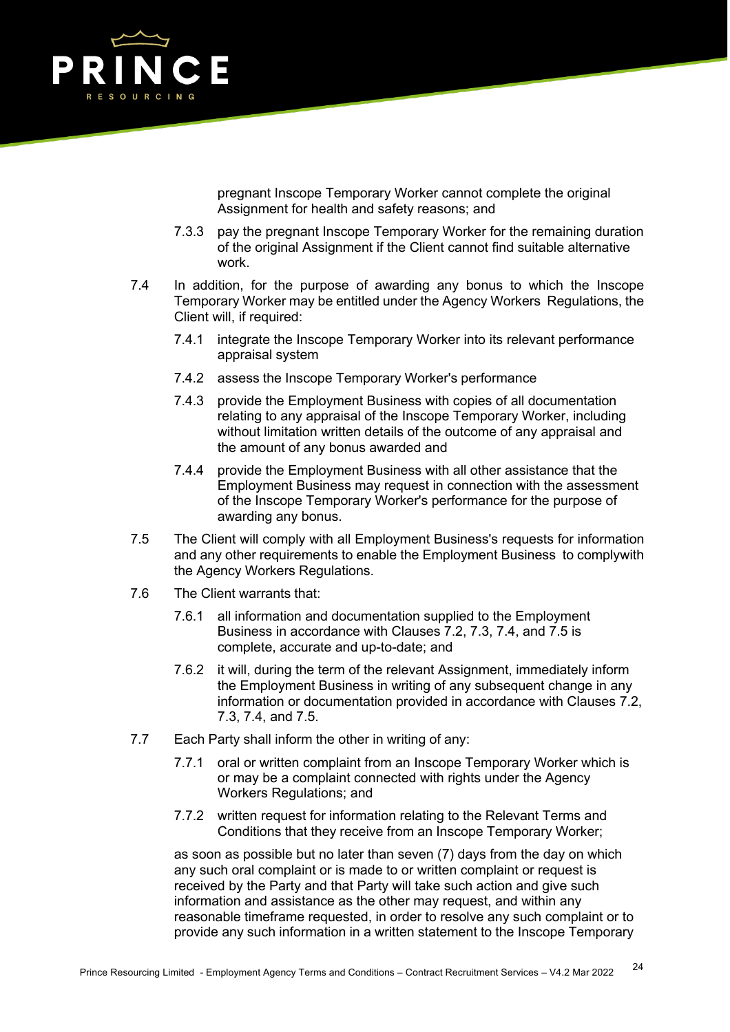

pregnant Inscope Temporary Worker cannot complete the original Assignment for health and safety reasons; and

- 7.3.3 pay the pregnant Inscope Temporary Worker for the remaining duration of the original Assignment if the Client cannot find suitable alternative work.
- 7.4 In addition, for the purpose of awarding any bonus to which the Inscope Temporary Worker may be entitled under the Agency Workers Regulations, the Client will, if required:
	- 7.4.1 integrate the Inscope Temporary Worker into its relevant performance appraisal system
	- 7.4.2 assess the Inscope Temporary Worker's performance
	- 7.4.3 provide the Employment Business with copies of all documentation relating to any appraisal of the Inscope Temporary Worker, including without limitation written details of the outcome of any appraisal and the amount of any bonus awarded and
	- 7.4.4 provide the Employment Business with all other assistance that the Employment Business may request in connection with the assessment of the Inscope Temporary Worker's performance for the purpose of awarding any bonus.
- 7.5 The Client will comply with all Employment Business's requests for information and any other requirements to enable the Employment Business to complywith the Agency Workers Regulations.
- 7.6 The Client warrants that:
	- 7.6.1 all information and documentation supplied to the Employment Business in accordance with Clauses 7.2, 7.3, 7.4, and 7.5 is complete, accurate and up-to-date; and
	- 7.6.2 it will, during the term of the relevant Assignment, immediately inform the Employment Business in writing of any subsequent change in any information or documentation provided in accordance with Clauses 7.2, 7.3, 7.4, and 7.5.
- 7.7 Each Party shall inform the other in writing of any:
	- 7.7.1 oral or written complaint from an Inscope Temporary Worker which is or may be a complaint connected with rights under the Agency Workers Regulations; and
	- 7.7.2 written request for information relating to the Relevant Terms and Conditions that they receive from an Inscope Temporary Worker;

as soon as possible but no later than seven (7) days from the day on which any such oral complaint or is made to or written complaint or request is received by the Party and that Party will take such action and give such information and assistance as the other may request, and within any reasonable timeframe requested, in order to resolve any such complaint or to provide any such information in a written statement to the Inscope Temporary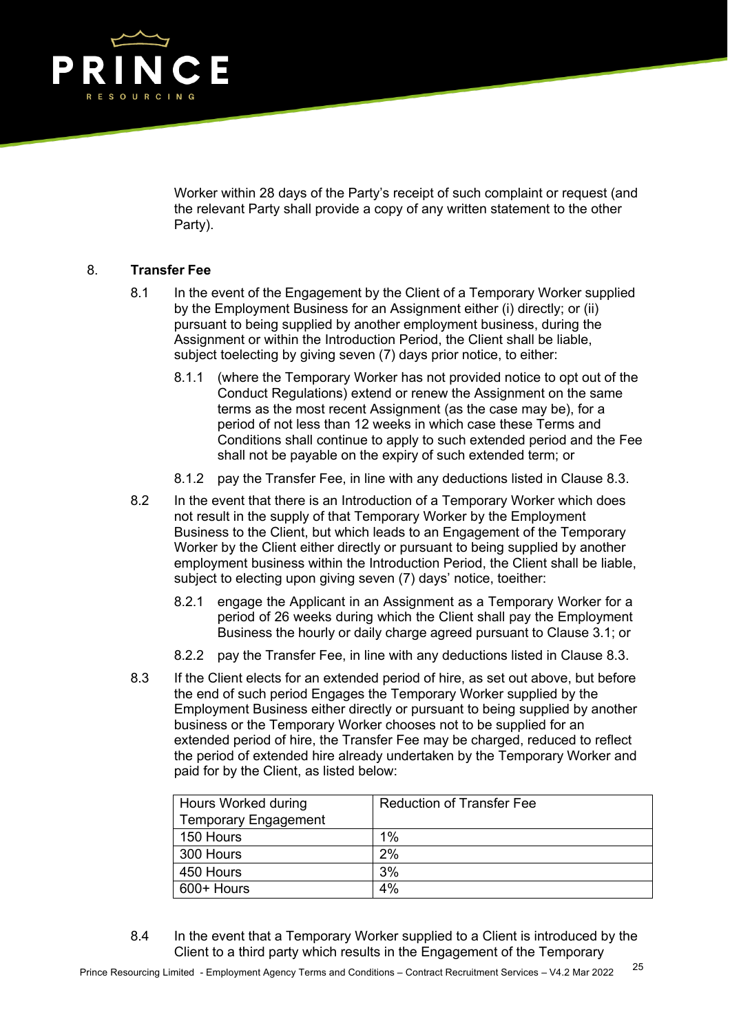

Worker within 28 days of the Party's receipt of such complaint or request (and the relevant Party shall provide a copy of any written statement to the other Party).

# 8. **Transfer Fee**

- 8.1 In the event of the Engagement by the Client of a Temporary Worker supplied by the Employment Business for an Assignment either (i) directly; or (ii) pursuant to being supplied by another employment business, during the Assignment or within the Introduction Period, the Client shall be liable, subject toelecting by giving seven (7) days prior notice, to either:
	- 8.1.1 (where the Temporary Worker has not provided notice to opt out of the Conduct Regulations) extend or renew the Assignment on the same terms as the most recent Assignment (as the case may be), for a period of not less than 12 weeks in which case these Terms and Conditions shall continue to apply to such extended period and the Fee shall not be payable on the expiry of such extended term; or
	- 8.1.2 pay the Transfer Fee, in line with any deductions listed in Clause 8.3.
- 8.2 In the event that there is an Introduction of a Temporary Worker which does not result in the supply of that Temporary Worker by the Employment Business to the Client, but which leads to an Engagement of the Temporary Worker by the Client either directly or pursuant to being supplied by another employment business within the Introduction Period, the Client shall be liable, subject to electing upon giving seven (7) days' notice, toeither:
	- 8.2.1 engage the Applicant in an Assignment as a Temporary Worker for a period of 26 weeks during which the Client shall pay the Employment Business the hourly or daily charge agreed pursuant to Clause 3.1; or
	- 8.2.2 pay the Transfer Fee, in line with any deductions listed in Clause 8.3.
- 8.3 If the Client elects for an extended period of hire, as set out above, but before the end of such period Engages the Temporary Worker supplied by the Employment Business either directly or pursuant to being supplied by another business or the Temporary Worker chooses not to be supplied for an extended period of hire, the Transfer Fee may be charged, reduced to reflect the period of extended hire already undertaken by the Temporary Worker and paid for by the Client, as listed below:

| Hours Worked during         | <b>Reduction of Transfer Fee</b> |
|-----------------------------|----------------------------------|
| <b>Temporary Engagement</b> |                                  |
| 150 Hours                   | 1%                               |
| 300 Hours                   | 2%                               |
| 450 Hours                   | 3%                               |
| 600+ Hours                  | 4%                               |

8.4 In the event that a Temporary Worker supplied to a Client is introduced by the Client to a third party which results in the Engagement of the Temporary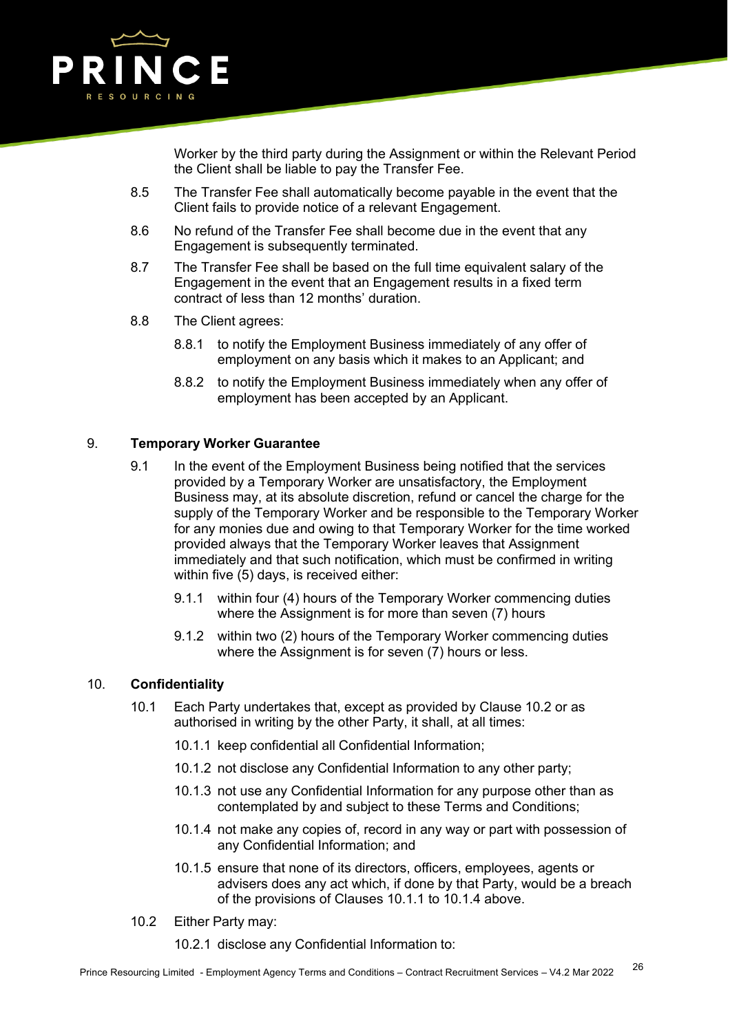

Worker by the third party during the Assignment or within the Relevant Period the Client shall be liable to pay the Transfer Fee.

- 8.5 The Transfer Fee shall automatically become payable in the event that the Client fails to provide notice of a relevant Engagement.
- 8.6 No refund of the Transfer Fee shall become due in the event that any Engagement is subsequently terminated.
- 8.7 The Transfer Fee shall be based on the full time equivalent salary of the Engagement in the event that an Engagement results in a fixed term contract of less than 12 months' duration.
- 8.8 The Client agrees:
	- 8.8.1 to notify the Employment Business immediately of any offer of employment on any basis which it makes to an Applicant; and
	- 8.8.2 to notify the Employment Business immediately when any offer of employment has been accepted by an Applicant.

## 9. **Temporary Worker Guarantee**

- 9.1 In the event of the Employment Business being notified that the services provided by a Temporary Worker are unsatisfactory, the Employment Business may, at its absolute discretion, refund or cancel the charge for the supply of the Temporary Worker and be responsible to the Temporary Worker for any monies due and owing to that Temporary Worker for the time worked provided always that the Temporary Worker leaves that Assignment immediately and that such notification, which must be confirmed in writing within five (5) days, is received either:
	- 9.1.1 within four (4) hours of the Temporary Worker commencing duties where the Assignment is for more than seven (7) hours
	- 9.1.2 within two (2) hours of the Temporary Worker commencing duties where the Assignment is for seven (7) hours or less.

## 10. **Confidentiality**

- 10.1 Each Party undertakes that, except as provided by Clause 10.2 or as authorised in writing by the other Party, it shall, at all times:
	- 10.1.1 keep confidential all Confidential Information;
	- 10.1.2 not disclose any Confidential Information to any other party;
	- 10.1.3 not use any Confidential Information for any purpose other than as contemplated by and subject to these Terms and Conditions;
	- 10.1.4 not make any copies of, record in any way or part with possession of any Confidential Information; and
	- 10.1.5 ensure that none of its directors, officers, employees, agents or advisers does any act which, if done by that Party, would be a breach of the provisions of Clauses 10.1.1 to 10.1.4 above.
- 10.2 Either Party may:
	- 10.2.1 disclose any Confidential Information to: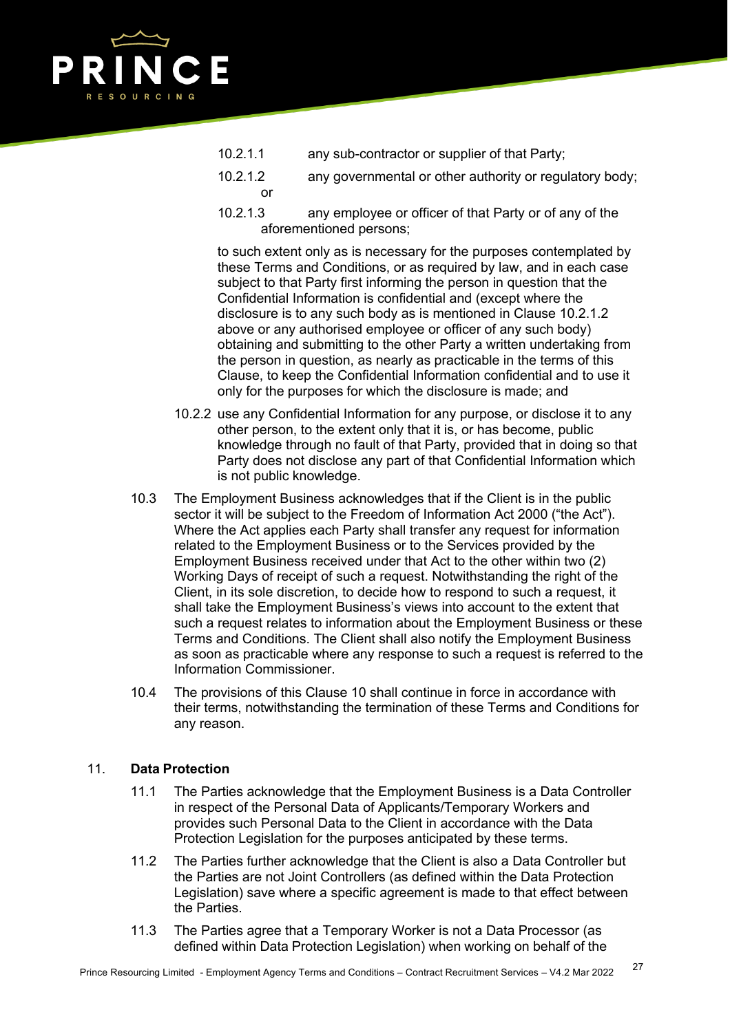

- 10.2.1.1 any sub-contractor or supplier of that Party;
- 10.2.1.2 any governmental or other authority or regulatory body; or
- 10.2.1.3 any employee or officer of that Party or of any of the aforementioned persons;

to such extent only as is necessary for the purposes contemplated by these Terms and Conditions, or as required by law, and in each case subject to that Party first informing the person in question that the Confidential Information is confidential and (except where the disclosure is to any such body as is mentioned in Clause 10.2.1.2 above or any authorised employee or officer of any such body) obtaining and submitting to the other Party a written undertaking from the person in question, as nearly as practicable in the terms of this Clause, to keep the Confidential Information confidential and to use it only for the purposes for which the disclosure is made; and

- 10.2.2 use any Confidential Information for any purpose, or disclose it to any other person, to the extent only that it is, or has become, public knowledge through no fault of that Party, provided that in doing so that Party does not disclose any part of that Confidential Information which is not public knowledge.
- 10.3 The Employment Business acknowledges that if the Client is in the public sector it will be subject to the Freedom of Information Act 2000 ("the Act"). Where the Act applies each Party shall transfer any request for information related to the Employment Business or to the Services provided by the Employment Business received under that Act to the other within two (2) Working Days of receipt of such a request. Notwithstanding the right of the Client, in its sole discretion, to decide how to respond to such a request, it shall take the Employment Business's views into account to the extent that such a request relates to information about the Employment Business or these Terms and Conditions. The Client shall also notify the Employment Business as soon as practicable where any response to such a request is referred to the Information Commissioner.
- 10.4 The provisions of this Clause 10 shall continue in force in accordance with their terms, notwithstanding the termination of these Terms and Conditions for any reason.

## 11. **Data Protection**

- 11.1 The Parties acknowledge that the Employment Business is a Data Controller in respect of the Personal Data of Applicants/Temporary Workers and provides such Personal Data to the Client in accordance with the Data Protection Legislation for the purposes anticipated by these terms.
- 11.2 The Parties further acknowledge that the Client is also a Data Controller but the Parties are not Joint Controllers (as defined within the Data Protection Legislation) save where a specific agreement is made to that effect between the Parties.
- 11.3 The Parties agree that a Temporary Worker is not a Data Processor (as defined within Data Protection Legislation) when working on behalf of the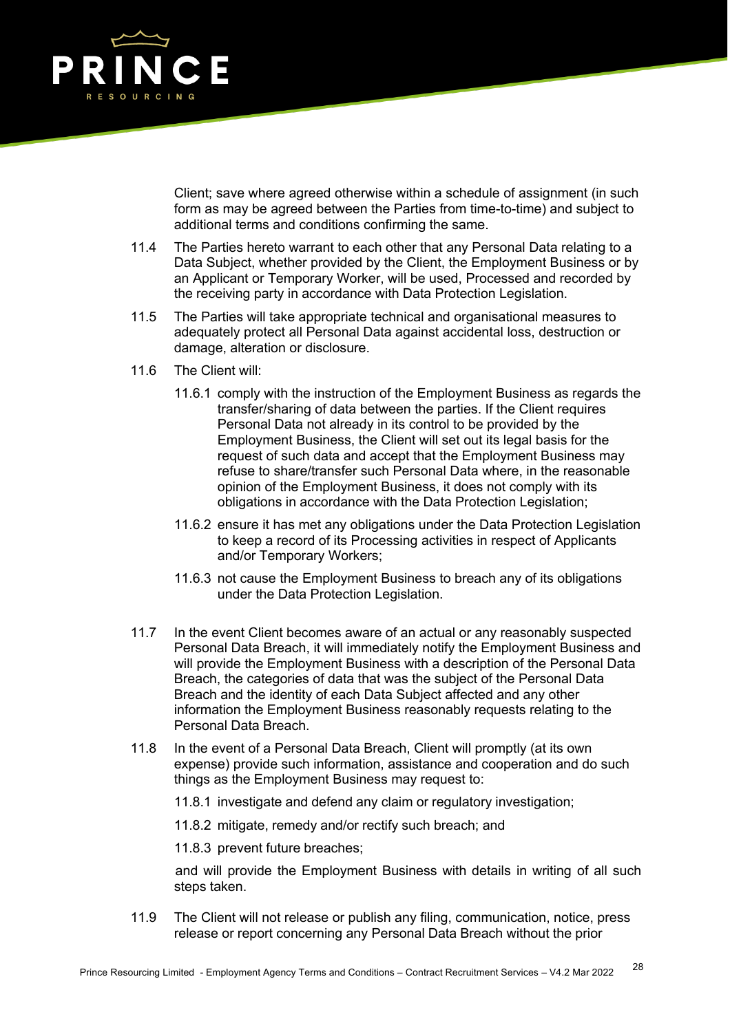

Client; save where agreed otherwise within a schedule of assignment (in such form as may be agreed between the Parties from time-to-time) and subject to additional terms and conditions confirming the same.

- 11.4 The Parties hereto warrant to each other that any Personal Data relating to a Data Subject, whether provided by the Client, the Employment Business or by an Applicant or Temporary Worker, will be used, Processed and recorded by the receiving party in accordance with Data Protection Legislation.
- 11.5 The Parties will take appropriate technical and organisational measures to adequately protect all Personal Data against accidental loss, destruction or damage, alteration or disclosure.
- 11.6 The Client will:
	- 11.6.1 comply with the instruction of the Employment Business as regards the transfer/sharing of data between the parties. If the Client requires Personal Data not already in its control to be provided by the Employment Business, the Client will set out its legal basis for the request of such data and accept that the Employment Business may refuse to share/transfer such Personal Data where, in the reasonable opinion of the Employment Business, it does not comply with its obligations in accordance with the Data Protection Legislation;
	- 11.6.2 ensure it has met any obligations under the Data Protection Legislation to keep a record of its Processing activities in respect of Applicants and/or Temporary Workers;
	- 11.6.3 not cause the Employment Business to breach any of its obligations under the Data Protection Legislation.
- 11.7 In the event Client becomes aware of an actual or any reasonably suspected Personal Data Breach, it will immediately notify the Employment Business and will provide the Employment Business with a description of the Personal Data Breach, the categories of data that was the subject of the Personal Data Breach and the identity of each Data Subject affected and any other information the Employment Business reasonably requests relating to the Personal Data Breach.
- 11.8 In the event of a Personal Data Breach, Client will promptly (at its own expense) provide such information, assistance and cooperation and do such things as the Employment Business may request to:
	- 11.8.1 investigate and defend any claim or regulatory investigation;
	- 11.8.2 mitigate, remedy and/or rectify such breach; and
	- 11.8.3 prevent future breaches;

and will provide the Employment Business with details in writing of all such steps taken.

11.9 The Client will not release or publish any filing, communication, notice, press release or report concerning any Personal Data Breach without the prior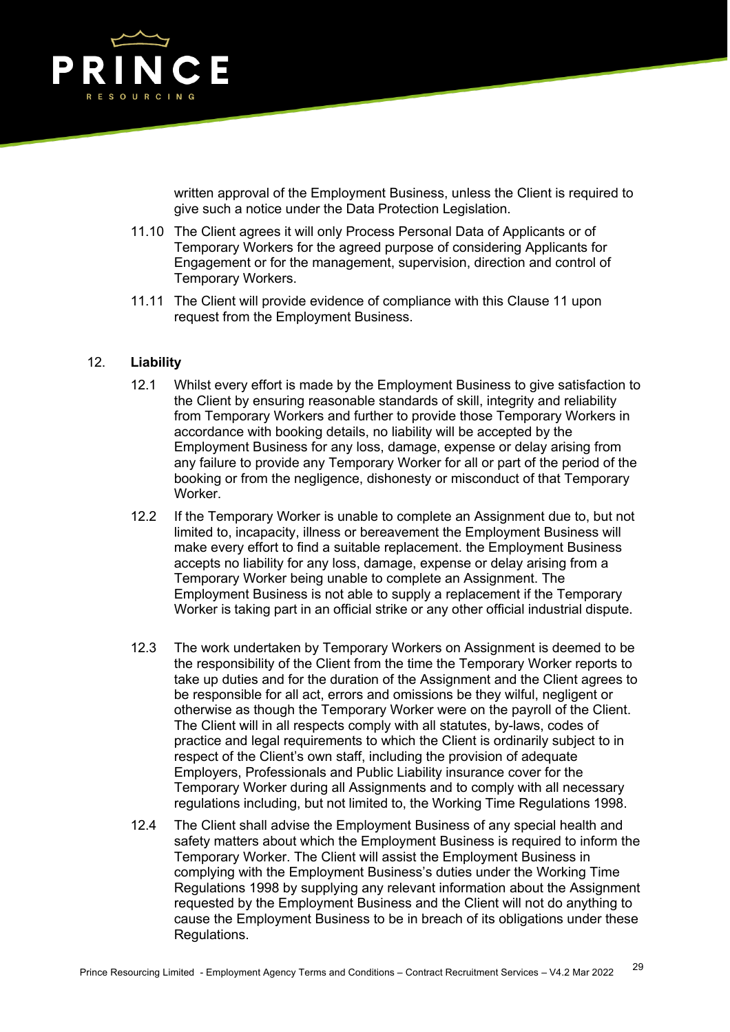

written approval of the Employment Business, unless the Client is required to give such a notice under the Data Protection Legislation.

- 11.10 The Client agrees it will only Process Personal Data of Applicants or of Temporary Workers for the agreed purpose of considering Applicants for Engagement or for the management, supervision, direction and control of Temporary Workers.
- 11.11 The Client will provide evidence of compliance with this Clause 11 upon request from the Employment Business.

### 12. **Liability**

- 12.1 Whilst every effort is made by the Employment Business to give satisfaction to the Client by ensuring reasonable standards of skill, integrity and reliability from Temporary Workers and further to provide those Temporary Workers in accordance with booking details, no liability will be accepted by the Employment Business for any loss, damage, expense or delay arising from any failure to provide any Temporary Worker for all or part of the period of the booking or from the negligence, dishonesty or misconduct of that Temporary Worker.
- 12.2 If the Temporary Worker is unable to complete an Assignment due to, but not limited to, incapacity, illness or bereavement the Employment Business will make every effort to find a suitable replacement. the Employment Business accepts no liability for any loss, damage, expense or delay arising from a Temporary Worker being unable to complete an Assignment. The Employment Business is not able to supply a replacement if the Temporary Worker is taking part in an official strike or any other official industrial dispute.
- 12.3 The work undertaken by Temporary Workers on Assignment is deemed to be the responsibility of the Client from the time the Temporary Worker reports to take up duties and for the duration of the Assignment and the Client agrees to be responsible for all act, errors and omissions be they wilful, negligent or otherwise as though the Temporary Worker were on the payroll of the Client. The Client will in all respects comply with all statutes, by-laws, codes of practice and legal requirements to which the Client is ordinarily subject to in respect of the Client's own staff, including the provision of adequate Employers, Professionals and Public Liability insurance cover for the Temporary Worker during all Assignments and to comply with all necessary regulations including, but not limited to, the Working Time Regulations 1998.
- 12.4 The Client shall advise the Employment Business of any special health and safety matters about which the Employment Business is required to inform the Temporary Worker. The Client will assist the Employment Business in complying with the Employment Business's duties under the Working Time Regulations 1998 by supplying any relevant information about the Assignment requested by the Employment Business and the Client will not do anything to cause the Employment Business to be in breach of its obligations under these Regulations.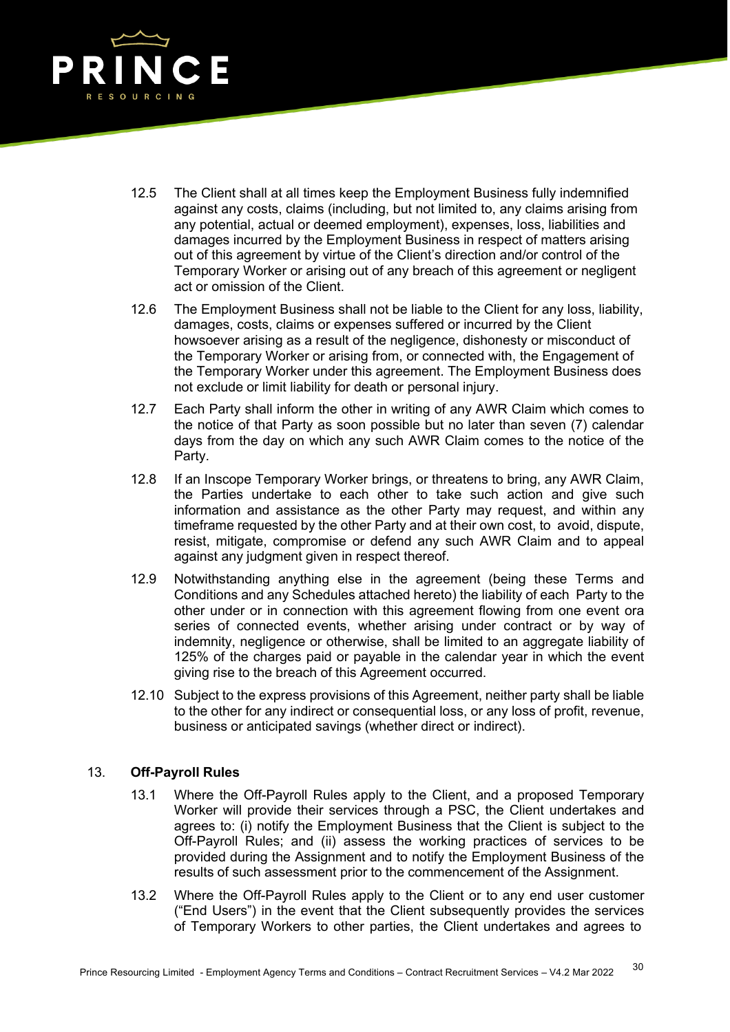

- 12.5 The Client shall at all times keep the Employment Business fully indemnified against any costs, claims (including, but not limited to, any claims arising from any potential, actual or deemed employment), expenses, loss, liabilities and damages incurred by the Employment Business in respect of matters arising out of this agreement by virtue of the Client's direction and/or control of the Temporary Worker or arising out of any breach of this agreement or negligent act or omission of the Client.
- 12.6 The Employment Business shall not be liable to the Client for any loss, liability, damages, costs, claims or expenses suffered or incurred by the Client howsoever arising as a result of the negligence, dishonesty or misconduct of the Temporary Worker or arising from, or connected with, the Engagement of the Temporary Worker under this agreement. The Employment Business does not exclude or limit liability for death or personal injury.
- 12.7 Each Party shall inform the other in writing of any AWR Claim which comes to the notice of that Party as soon possible but no later than seven (7) calendar days from the day on which any such AWR Claim comes to the notice of the Party.
- 12.8 If an Inscope Temporary Worker brings, or threatens to bring, any AWR Claim, the Parties undertake to each other to take such action and give such information and assistance as the other Party may request, and within any timeframe requested by the other Party and at their own cost, to avoid, dispute, resist, mitigate, compromise or defend any such AWR Claim and to appeal against any judgment given in respect thereof.
- 12.9 Notwithstanding anything else in the agreement (being these Terms and Conditions and any Schedules attached hereto) the liability of each Party to the other under or in connection with this agreement flowing from one event ora series of connected events, whether arising under contract or by way of indemnity, negligence or otherwise, shall be limited to an aggregate liability of 125% of the charges paid or payable in the calendar year in which the event giving rise to the breach of this Agreement occurred.
- 12.10 Subject to the express provisions of this Agreement, neither party shall be liable to the other for any indirect or consequential loss, or any loss of profit, revenue, business or anticipated savings (whether direct or indirect).

## 13. **Off-Payroll Rules**

- 13.1 Where the Off-Payroll Rules apply to the Client, and a proposed Temporary Worker will provide their services through a PSC, the Client undertakes and agrees to: (i) notify the Employment Business that the Client is subject to the Off-Payroll Rules; and (ii) assess the working practices of services to be provided during the Assignment and to notify the Employment Business of the results of such assessment prior to the commencement of the Assignment.
- 13.2 Where the Off-Payroll Rules apply to the Client or to any end user customer ("End Users") in the event that the Client subsequently provides the services of Temporary Workers to other parties, the Client undertakes and agrees to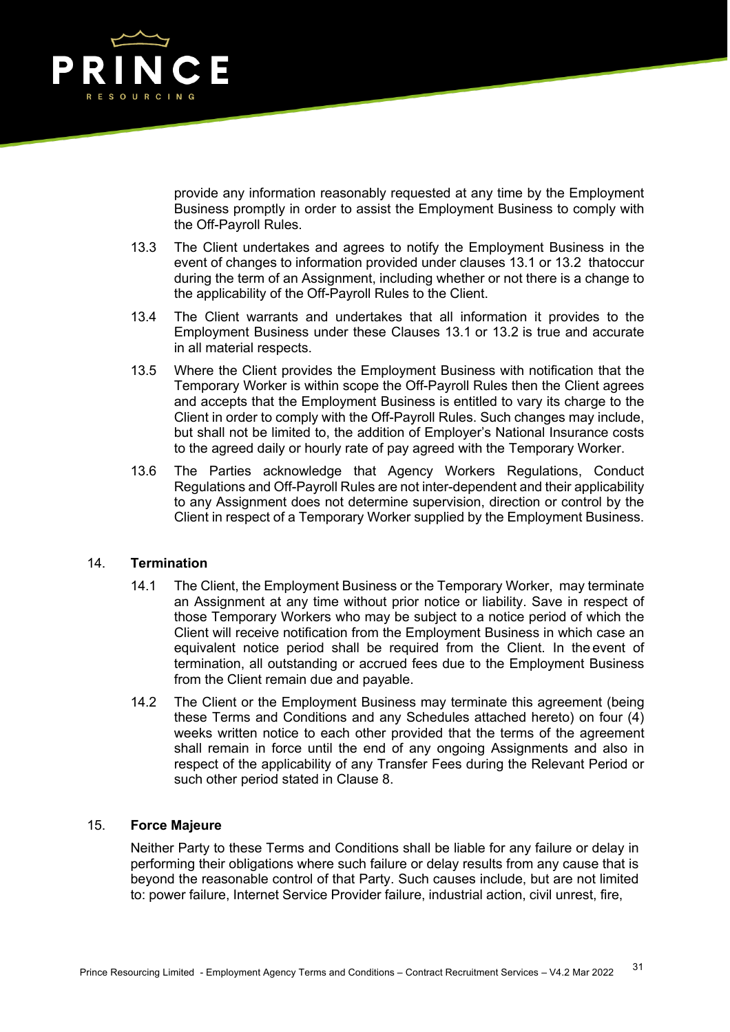

provide any information reasonably requested at any time by the Employment Business promptly in order to assist the Employment Business to comply with the Off-Payroll Rules.

- 13.3 The Client undertakes and agrees to notify the Employment Business in the event of changes to information provided under clauses 13.1 or 13.2 thatoccur during the term of an Assignment, including whether or not there is a change to the applicability of the Off-Payroll Rules to the Client.
- 13.4 The Client warrants and undertakes that all information it provides to the Employment Business under these Clauses 13.1 or 13.2 is true and accurate in all material respects.
- 13.5 Where the Client provides the Employment Business with notification that the Temporary Worker is within scope the Off-Payroll Rules then the Client agrees and accepts that the Employment Business is entitled to vary its charge to the Client in order to comply with the Off-Payroll Rules. Such changes may include, but shall not be limited to, the addition of Employer's National Insurance costs to the agreed daily or hourly rate of pay agreed with the Temporary Worker.
- 13.6 The Parties acknowledge that Agency Workers Regulations, Conduct Regulations and Off-Payroll Rules are not inter-dependent and their applicability to any Assignment does not determine supervision, direction or control by the Client in respect of a Temporary Worker supplied by the Employment Business.

## 14. **Termination**

- 14.1 The Client, the Employment Business or the Temporary Worker, may terminate an Assignment at any time without prior notice or liability. Save in respect of those Temporary Workers who may be subject to a notice period of which the Client will receive notification from the Employment Business in which case an equivalent notice period shall be required from the Client. In the event of termination, all outstanding or accrued fees due to the Employment Business from the Client remain due and payable.
- 14.2 The Client or the Employment Business may terminate this agreement (being these Terms and Conditions and any Schedules attached hereto) on four (4) weeks written notice to each other provided that the terms of the agreement shall remain in force until the end of any ongoing Assignments and also in respect of the applicability of any Transfer Fees during the Relevant Period or such other period stated in Clause 8.

#### 15. **Force Majeure**

Neither Party to these Terms and Conditions shall be liable for any failure or delay in performing their obligations where such failure or delay results from any cause that is beyond the reasonable control of that Party. Such causes include, but are not limited to: power failure, Internet Service Provider failure, industrial action, civil unrest, fire,